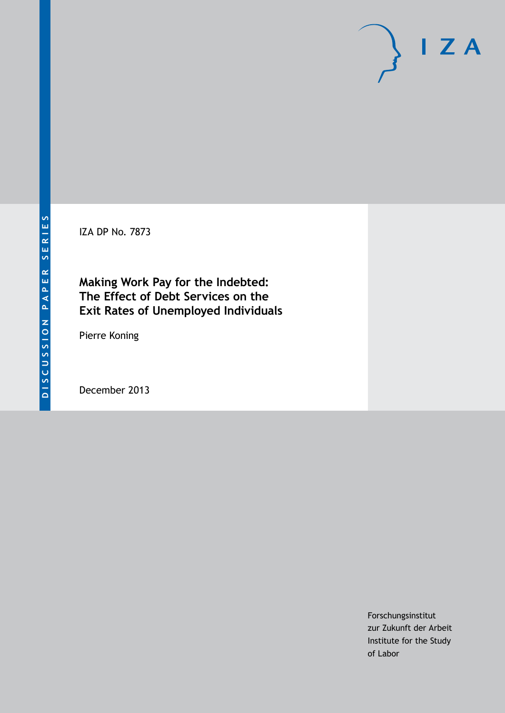IZA DP No. 7873

# **Making Work Pay for the Indebted: The Effect of Debt Services on the Exit Rates of Unemployed Individuals**

Pierre Koning

December 2013

Forschungsinstitut zur Zukunft der Arbeit Institute for the Study of Labor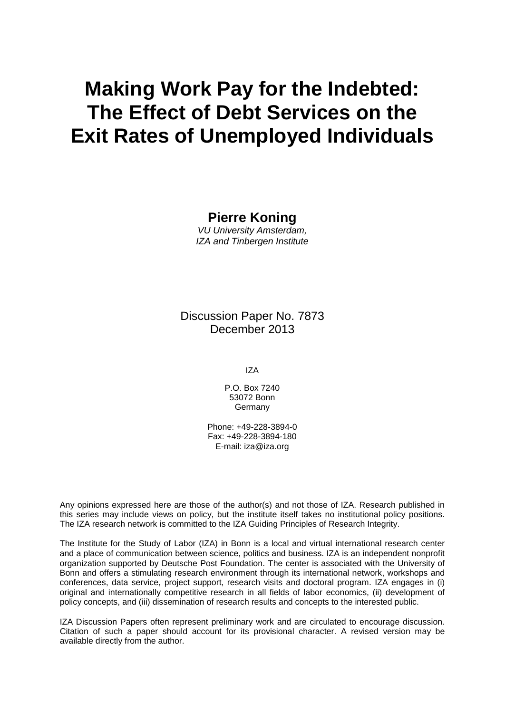# **Making Work Pay for the Indebted: The Effect of Debt Services on the Exit Rates of Unemployed Individuals**

**Pierre Koning**

*VU University Amsterdam, IZA and Tinbergen Institute*

Discussion Paper No. 7873 December 2013

IZA

P.O. Box 7240 53072 Bonn Germany

Phone: +49-228-3894-0 Fax: +49-228-3894-180 E-mail: [iza@iza.org](mailto:iza@iza.org)

Any opinions expressed here are those of the author(s) and not those of IZA. Research published in this series may include views on policy, but the institute itself takes no institutional policy positions. The IZA research network is committed to the IZA Guiding Principles of Research Integrity.

The Institute for the Study of Labor (IZA) in Bonn is a local and virtual international research center and a place of communication between science, politics and business. IZA is an independent nonprofit organization supported by Deutsche Post Foundation. The center is associated with the University of Bonn and offers a stimulating research environment through its international network, workshops and conferences, data service, project support, research visits and doctoral program. IZA engages in (i) original and internationally competitive research in all fields of labor economics, (ii) development of policy concepts, and (iii) dissemination of research results and concepts to the interested public.

<span id="page-1-0"></span>IZA Discussion Papers often represent preliminary work and are circulated to encourage discussion. Citation of such a paper should account for its provisional character. A revised version may be available directly from the author.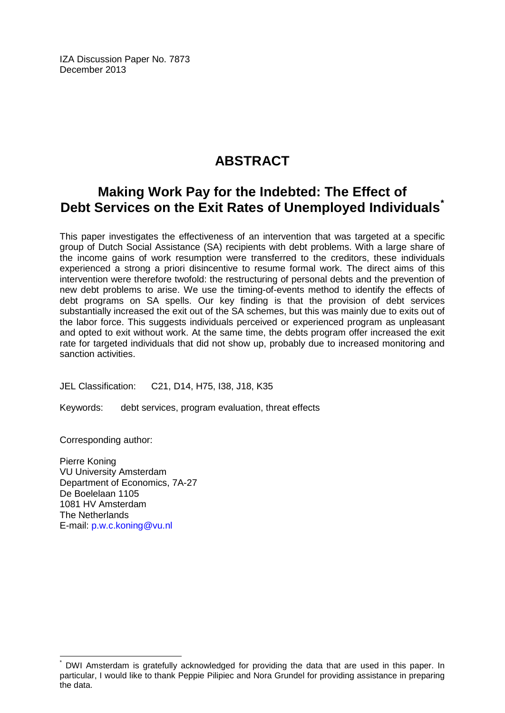IZA Discussion Paper No. 7873 December 2013

# **ABSTRACT**

# **Making Work Pay for the Indebted: The Effect of Debt Services on the Exit Rates of Unemployed Individuals[\\*](#page-1-0)**

This paper investigates the effectiveness of an intervention that was targeted at a specific group of Dutch Social Assistance (SA) recipients with debt problems. With a large share of the income gains of work resumption were transferred to the creditors, these individuals experienced a strong a priori disincentive to resume formal work. The direct aims of this intervention were therefore twofold: the restructuring of personal debts and the prevention of new debt problems to arise. We use the timing-of-events method to identify the effects of debt programs on SA spells. Our key finding is that the provision of debt services substantially increased the exit out of the SA schemes, but this was mainly due to exits out of the labor force. This suggests individuals perceived or experienced program as unpleasant and opted to exit without work. At the same time, the debts program offer increased the exit rate for targeted individuals that did not show up, probably due to increased monitoring and sanction activities.

JEL Classification: C21, D14, H75, I38, J18, K35

Keywords: debt services, program evaluation, threat effects

Corresponding author:

Pierre Koning VU University Amsterdam Department of Economics, 7A-27 De Boelelaan 1105 1081 HV Amsterdam The Netherlands E-mail: [p.w.c.koning@vu.nl](mailto:p.w.c.koning@vu.nl)

DWI Amsterdam is gratefully acknowledged for providing the data that are used in this paper. In particular, I would like to thank Peppie Pilipiec and Nora Grundel for providing assistance in preparing the data.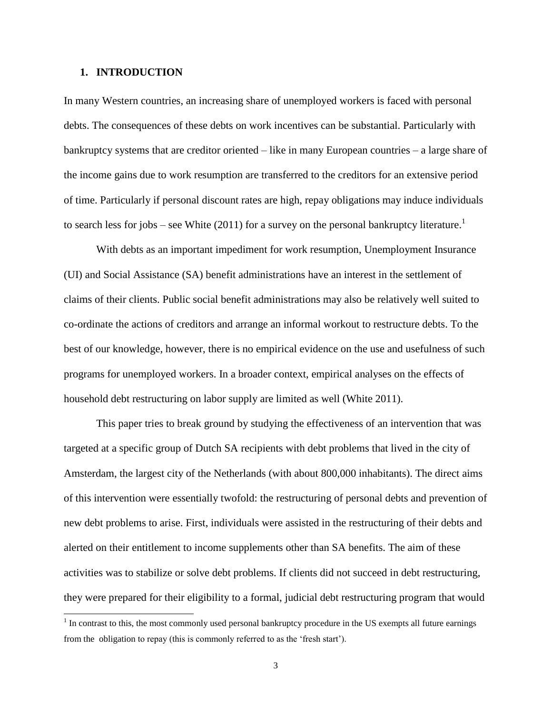#### **1. INTRODUCTION**

l

In many Western countries, an increasing share of unemployed workers is faced with personal debts. The consequences of these debts on work incentives can be substantial. Particularly with bankruptcy systems that are creditor oriented – like in many European countries – a large share of the income gains due to work resumption are transferred to the creditors for an extensive period of time. Particularly if personal discount rates are high, repay obligations may induce individuals to search less for jobs – see White  $(2011)$  for a survey on the personal bankruptcy literature.<sup>1</sup>

With debts as an important impediment for work resumption, Unemployment Insurance (UI) and Social Assistance (SA) benefit administrations have an interest in the settlement of claims of their clients. Public social benefit administrations may also be relatively well suited to co-ordinate the actions of creditors and arrange an informal workout to restructure debts. To the best of our knowledge, however, there is no empirical evidence on the use and usefulness of such programs for unemployed workers. In a broader context, empirical analyses on the effects of household debt restructuring on labor supply are limited as well (White 2011).

This paper tries to break ground by studying the effectiveness of an intervention that was targeted at a specific group of Dutch SA recipients with debt problems that lived in the city of Amsterdam, the largest city of the Netherlands (with about 800,000 inhabitants). The direct aims of this intervention were essentially twofold: the restructuring of personal debts and prevention of new debt problems to arise. First, individuals were assisted in the restructuring of their debts and alerted on their entitlement to income supplements other than SA benefits. The aim of these activities was to stabilize or solve debt problems. If clients did not succeed in debt restructuring, they were prepared for their eligibility to a formal, judicial debt restructuring program that would

 $1$  In contrast to this, the most commonly used personal bankruptcy procedure in the US exempts all future earnings from the obligation to repay (this is commonly referred to as the 'fresh start').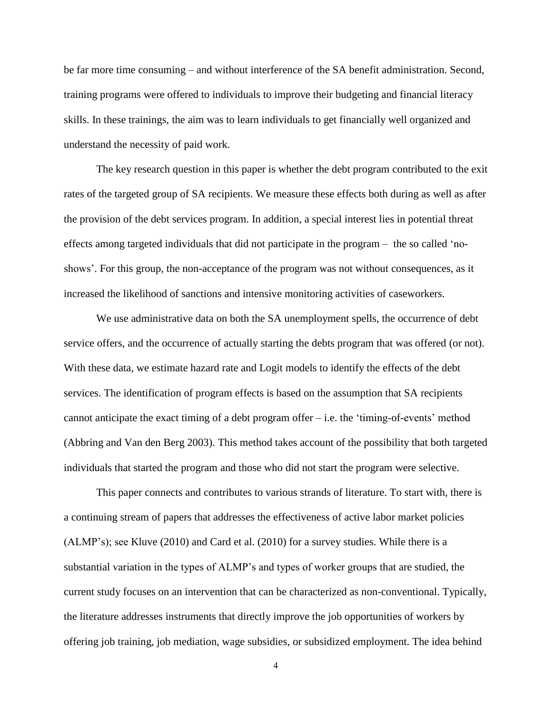be far more time consuming – and without interference of the SA benefit administration. Second, training programs were offered to individuals to improve their budgeting and financial literacy skills. In these trainings, the aim was to learn individuals to get financially well organized and understand the necessity of paid work.

The key research question in this paper is whether the debt program contributed to the exit rates of the targeted group of SA recipients. We measure these effects both during as well as after the provision of the debt services program. In addition, a special interest lies in potential threat effects among targeted individuals that did not participate in the program – the so called 'noshows'. For this group, the non-acceptance of the program was not without consequences, as it increased the likelihood of sanctions and intensive monitoring activities of caseworkers.

We use administrative data on both the SA unemployment spells, the occurrence of debt service offers, and the occurrence of actually starting the debts program that was offered (or not). With these data, we estimate hazard rate and Logit models to identify the effects of the debt services. The identification of program effects is based on the assumption that SA recipients cannot anticipate the exact timing of a debt program offer – i.e. the 'timing-of-events' method (Abbring and Van den Berg 2003). This method takes account of the possibility that both targeted individuals that started the program and those who did not start the program were selective.

This paper connects and contributes to various strands of literature. To start with, there is a continuing stream of papers that addresses the effectiveness of active labor market policies (ALMP's); see Kluve (2010) and Card et al. (2010) for a survey studies. While there is a substantial variation in the types of ALMP's and types of worker groups that are studied, the current study focuses on an intervention that can be characterized as non-conventional. Typically, the literature addresses instruments that directly improve the job opportunities of workers by offering job training, job mediation, wage subsidies, or subsidized employment. The idea behind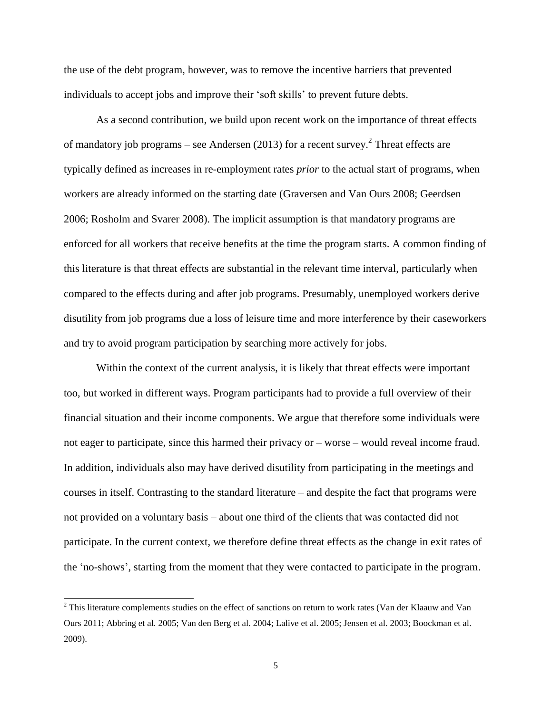the use of the debt program, however, was to remove the incentive barriers that prevented individuals to accept jobs and improve their 'soft skills' to prevent future debts.

As a second contribution, we build upon recent work on the importance of threat effects of mandatory job programs – see Andersen (2013) for a recent survey.<sup>2</sup> Threat effects are typically defined as increases in re-employment rates *prior* to the actual start of programs, when workers are already informed on the starting date (Graversen and Van Ours 2008; Geerdsen 2006; Rosholm and Svarer 2008). The implicit assumption is that mandatory programs are enforced for all workers that receive benefits at the time the program starts. A common finding of this literature is that threat effects are substantial in the relevant time interval, particularly when compared to the effects during and after job programs. Presumably, unemployed workers derive disutility from job programs due a loss of leisure time and more interference by their caseworkers and try to avoid program participation by searching more actively for jobs.

Within the context of the current analysis, it is likely that threat effects were important too, but worked in different ways. Program participants had to provide a full overview of their financial situation and their income components. We argue that therefore some individuals were not eager to participate, since this harmed their privacy or – worse – would reveal income fraud. In addition, individuals also may have derived disutility from participating in the meetings and courses in itself. Contrasting to the standard literature – and despite the fact that programs were not provided on a voluntary basis – about one third of the clients that was contacted did not participate. In the current context, we therefore define threat effects as the change in exit rates of the 'no-shows', starting from the moment that they were contacted to participate in the program.

l

<sup>&</sup>lt;sup>2</sup> This literature complements studies on the effect of sanctions on return to work rates (Van der Klaauw and Van Ours 2011; Abbring et al. 2005; Van den Berg et al. 2004; Lalive et al. 2005; Jensen et al. 2003; Boockman et al. 2009).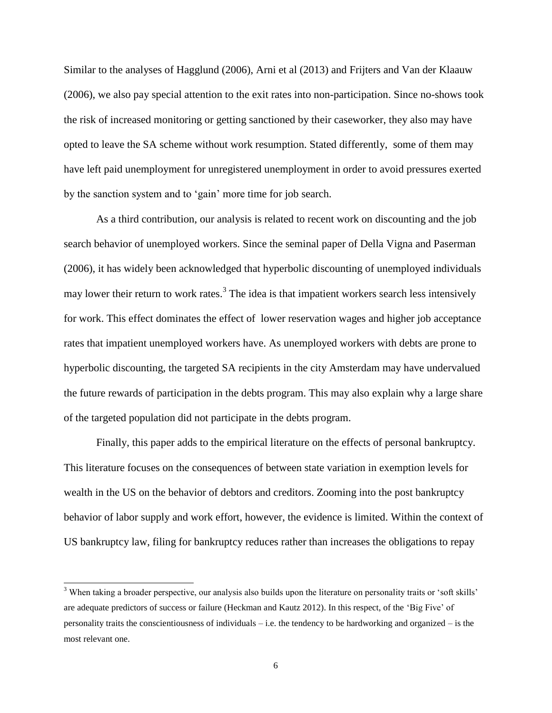Similar to the analyses of Hagglund (2006), Arni et al (2013) and Frijters and Van der Klaauw (2006), we also pay special attention to the exit rates into non-participation. Since no-shows took the risk of increased monitoring or getting sanctioned by their caseworker, they also may have opted to leave the SA scheme without work resumption. Stated differently, some of them may have left paid unemployment for unregistered unemployment in order to avoid pressures exerted by the sanction system and to 'gain' more time for job search.

As a third contribution, our analysis is related to recent work on discounting and the job search behavior of unemployed workers. Since the seminal paper of Della Vigna and Paserman (2006), it has widely been acknowledged that hyperbolic discounting of unemployed individuals may lower their return to work rates.<sup>3</sup> The idea is that impatient workers search less intensively for work. This effect dominates the effect of lower reservation wages and higher job acceptance rates that impatient unemployed workers have. As unemployed workers with debts are prone to hyperbolic discounting, the targeted SA recipients in the city Amsterdam may have undervalued the future rewards of participation in the debts program. This may also explain why a large share of the targeted population did not participate in the debts program.

Finally, this paper adds to the empirical literature on the effects of personal bankruptcy. This literature focuses on the consequences of between state variation in exemption levels for wealth in the US on the behavior of debtors and creditors. Zooming into the post bankruptcy behavior of labor supply and work effort, however, the evidence is limited. Within the context of US bankruptcy law, filing for bankruptcy reduces rather than increases the obligations to repay

l

<sup>&</sup>lt;sup>3</sup> When taking a broader perspective, our analysis also builds upon the literature on personality traits or 'soft skills' are adequate predictors of success or failure (Heckman and Kautz 2012). In this respect, of the 'Big Five' of personality traits the conscientiousness of individuals – i.e. the tendency to be hardworking and organized – is the most relevant one.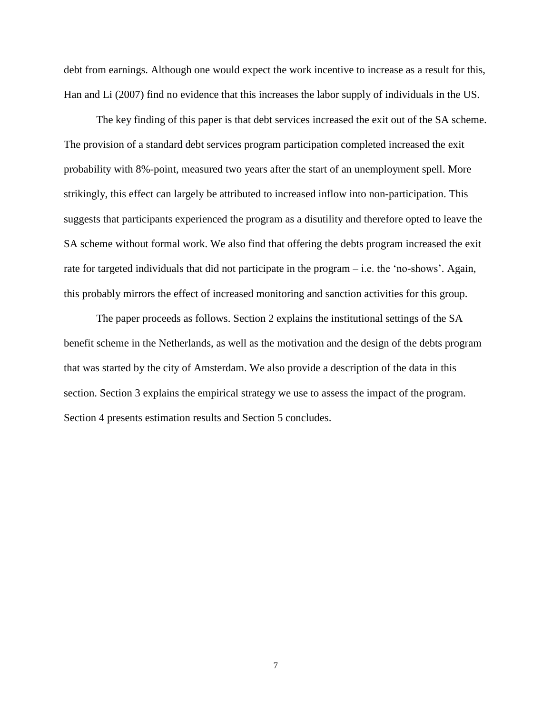debt from earnings. Although one would expect the work incentive to increase as a result for this, Han and Li (2007) find no evidence that this increases the labor supply of individuals in the US.

The key finding of this paper is that debt services increased the exit out of the SA scheme. The provision of a standard debt services program participation completed increased the exit probability with 8%-point, measured two years after the start of an unemployment spell. More strikingly, this effect can largely be attributed to increased inflow into non-participation. This suggests that participants experienced the program as a disutility and therefore opted to leave the SA scheme without formal work. We also find that offering the debts program increased the exit rate for targeted individuals that did not participate in the program – i.e. the 'no-shows'. Again, this probably mirrors the effect of increased monitoring and sanction activities for this group.

The paper proceeds as follows. Section 2 explains the institutional settings of the SA benefit scheme in the Netherlands, as well as the motivation and the design of the debts program that was started by the city of Amsterdam. We also provide a description of the data in this section. Section 3 explains the empirical strategy we use to assess the impact of the program. Section 4 presents estimation results and Section 5 concludes.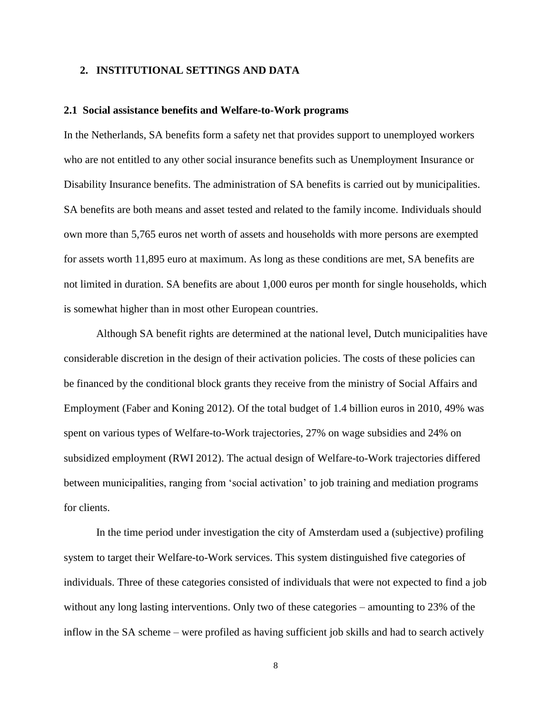#### **2. INSTITUTIONAL SETTINGS AND DATA**

#### **2.1 Social assistance benefits and Welfare-to-Work programs**

In the Netherlands, SA benefits form a safety net that provides support to unemployed workers who are not entitled to any other social insurance benefits such as Unemployment Insurance or Disability Insurance benefits. The administration of SA benefits is carried out by municipalities. SA benefits are both means and asset tested and related to the family income. Individuals should own more than 5,765 euros net worth of assets and households with more persons are exempted for assets worth 11,895 euro at maximum. As long as these conditions are met, SA benefits are not limited in duration. SA benefits are about 1,000 euros per month for single households, which is somewhat higher than in most other European countries.

Although SA benefit rights are determined at the national level, Dutch municipalities have considerable discretion in the design of their activation policies. The costs of these policies can be financed by the conditional block grants they receive from the ministry of Social Affairs and Employment (Faber and Koning 2012). Of the total budget of 1.4 billion euros in 2010, 49% was spent on various types of Welfare-to-Work trajectories, 27% on wage subsidies and 24% on subsidized employment (RWI 2012). The actual design of Welfare-to-Work trajectories differed between municipalities, ranging from 'social activation' to job training and mediation programs for clients.

In the time period under investigation the city of Amsterdam used a (subjective) profiling system to target their Welfare-to-Work services. This system distinguished five categories of individuals. Three of these categories consisted of individuals that were not expected to find a job without any long lasting interventions. Only two of these categories – amounting to 23% of the inflow in the SA scheme – were profiled as having sufficient job skills and had to search actively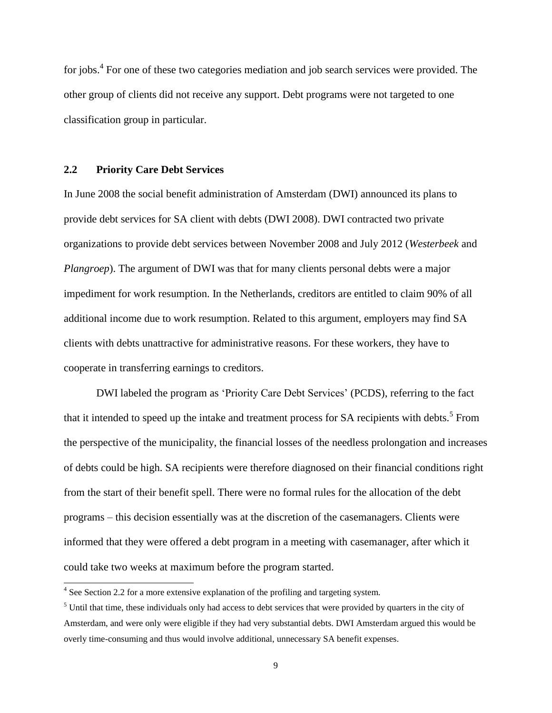for jobs.<sup>4</sup> For one of these two categories mediation and job search services were provided. The other group of clients did not receive any support. Debt programs were not targeted to one classification group in particular.

#### **2.2 Priority Care Debt Services**

In June 2008 the social benefit administration of Amsterdam (DWI) announced its plans to provide debt services for SA client with debts (DWI 2008). DWI contracted two private organizations to provide debt services between November 2008 and July 2012 (*Westerbeek* and *Plangroep*). The argument of DWI was that for many clients personal debts were a major impediment for work resumption. In the Netherlands, creditors are entitled to claim 90% of all additional income due to work resumption. Related to this argument, employers may find SA clients with debts unattractive for administrative reasons. For these workers, they have to cooperate in transferring earnings to creditors.

DWI labeled the program as 'Priority Care Debt Services' (PCDS), referring to the fact that it intended to speed up the intake and treatment process for SA recipients with debts.<sup>5</sup> From the perspective of the municipality, the financial losses of the needless prolongation and increases of debts could be high. SA recipients were therefore diagnosed on their financial conditions right from the start of their benefit spell. There were no formal rules for the allocation of the debt programs – this decision essentially was at the discretion of the casemanagers. Clients were informed that they were offered a debt program in a meeting with casemanager, after which it could take two weeks at maximum before the program started.

l

<sup>&</sup>lt;sup>4</sup> See Section 2.2 for a more extensive explanation of the profiling and targeting system.

<sup>&</sup>lt;sup>5</sup> Until that time, these individuals only had access to debt services that were provided by quarters in the city of Amsterdam, and were only were eligible if they had very substantial debts. DWI Amsterdam argued this would be overly time-consuming and thus would involve additional, unnecessary SA benefit expenses.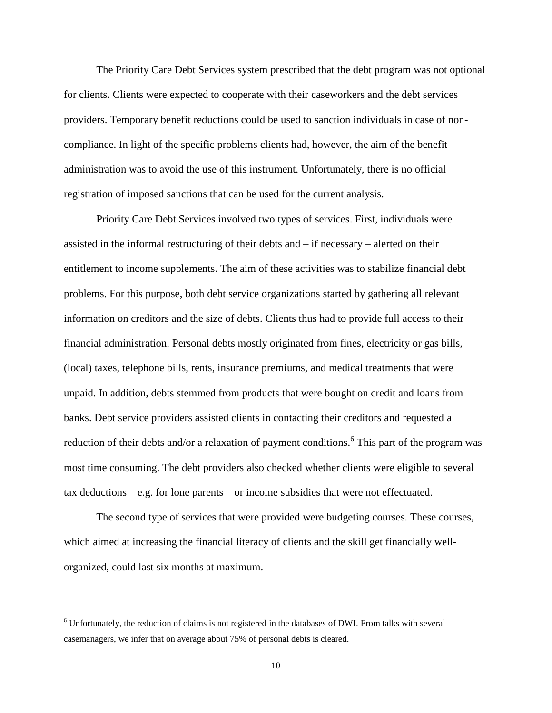The Priority Care Debt Services system prescribed that the debt program was not optional for clients. Clients were expected to cooperate with their caseworkers and the debt services providers. Temporary benefit reductions could be used to sanction individuals in case of noncompliance. In light of the specific problems clients had, however, the aim of the benefit administration was to avoid the use of this instrument. Unfortunately, there is no official registration of imposed sanctions that can be used for the current analysis.

Priority Care Debt Services involved two types of services. First, individuals were assisted in the informal restructuring of their debts and – if necessary – alerted on their entitlement to income supplements. The aim of these activities was to stabilize financial debt problems. For this purpose, both debt service organizations started by gathering all relevant information on creditors and the size of debts. Clients thus had to provide full access to their financial administration. Personal debts mostly originated from fines, electricity or gas bills, (local) taxes, telephone bills, rents, insurance premiums, and medical treatments that were unpaid. In addition, debts stemmed from products that were bought on credit and loans from banks. Debt service providers assisted clients in contacting their creditors and requested a reduction of their debts and/or a relaxation of payment conditions. <sup>6</sup> This part of the program was most time consuming. The debt providers also checked whether clients were eligible to several tax deductions – e.g. for lone parents – or income subsidies that were not effectuated.

The second type of services that were provided were budgeting courses. These courses, which aimed at increasing the financial literacy of clients and the skill get financially wellorganized, could last six months at maximum.

l

 $6$  Unfortunately, the reduction of claims is not registered in the databases of DWI. From talks with several casemanagers, we infer that on average about 75% of personal debts is cleared.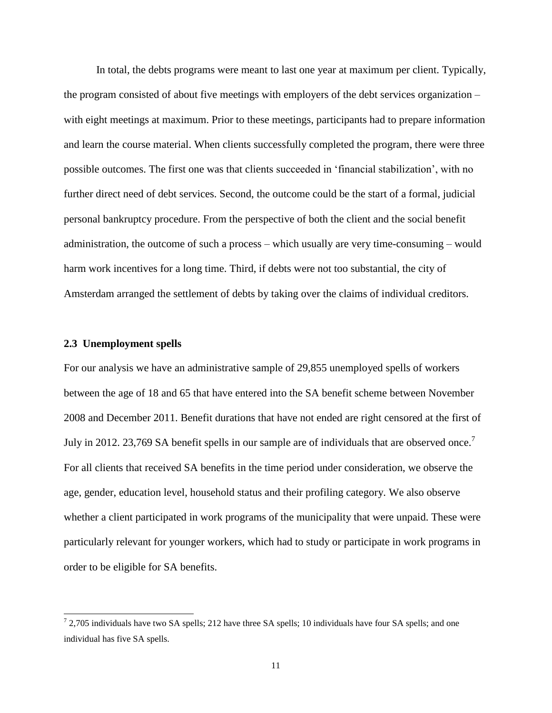In total, the debts programs were meant to last one year at maximum per client. Typically, the program consisted of about five meetings with employers of the debt services organization – with eight meetings at maximum. Prior to these meetings, participants had to prepare information and learn the course material. When clients successfully completed the program, there were three possible outcomes. The first one was that clients succeeded in 'financial stabilization', with no further direct need of debt services. Second, the outcome could be the start of a formal, judicial personal bankruptcy procedure. From the perspective of both the client and the social benefit administration, the outcome of such a process – which usually are very time-consuming – would harm work incentives for a long time. Third, if debts were not too substantial, the city of Amsterdam arranged the settlement of debts by taking over the claims of individual creditors.

#### **2.3 Unemployment spells**

l

For our analysis we have an administrative sample of 29,855 unemployed spells of workers between the age of 18 and 65 that have entered into the SA benefit scheme between November 2008 and December 2011. Benefit durations that have not ended are right censored at the first of July in 2012. 23,769 SA benefit spells in our sample are of individuals that are observed once.<sup>7</sup> For all clients that received SA benefits in the time period under consideration, we observe the age, gender, education level, household status and their profiling category. We also observe whether a client participated in work programs of the municipality that were unpaid. These were particularly relevant for younger workers, which had to study or participate in work programs in order to be eligible for SA benefits.

 $72,705$  individuals have two SA spells; 212 have three SA spells; 10 individuals have four SA spells; and one individual has five SA spells.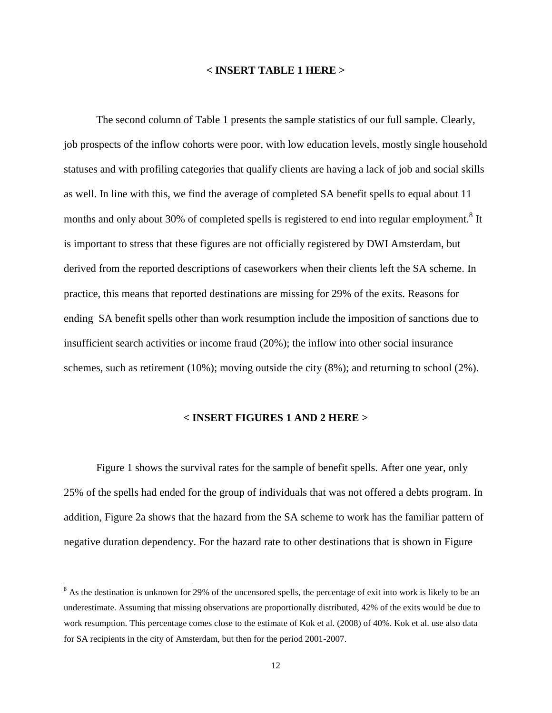#### **< INSERT TABLE 1 HERE >**

The second column of Table 1 presents the sample statistics of our full sample. Clearly, job prospects of the inflow cohorts were poor, with low education levels, mostly single household statuses and with profiling categories that qualify clients are having a lack of job and social skills as well. In line with this, we find the average of completed SA benefit spells to equal about 11 months and only about 30% of completed spells is registered to end into regular employment.<sup>8</sup> It is important to stress that these figures are not officially registered by DWI Amsterdam, but derived from the reported descriptions of caseworkers when their clients left the SA scheme. In practice, this means that reported destinations are missing for 29% of the exits. Reasons for ending SA benefit spells other than work resumption include the imposition of sanctions due to insufficient search activities or income fraud (20%); the inflow into other social insurance schemes, such as retirement (10%); moving outside the city  $(8\%)$ ; and returning to school  $(2\%)$ .

#### **< INSERT FIGURES 1 AND 2 HERE >**

Figure 1 shows the survival rates for the sample of benefit spells. After one year, only 25% of the spells had ended for the group of individuals that was not offered a debts program. In addition, Figure 2a shows that the hazard from the SA scheme to work has the familiar pattern of negative duration dependency. For the hazard rate to other destinations that is shown in Figure

l

<sup>&</sup>lt;sup>8</sup> As the destination is unknown for 29% of the uncensored spells, the percentage of exit into work is likely to be an underestimate. Assuming that missing observations are proportionally distributed, 42% of the exits would be due to work resumption. This percentage comes close to the estimate of Kok et al. (2008) of 40%. Kok et al. use also data for SA recipients in the city of Amsterdam, but then for the period 2001-2007.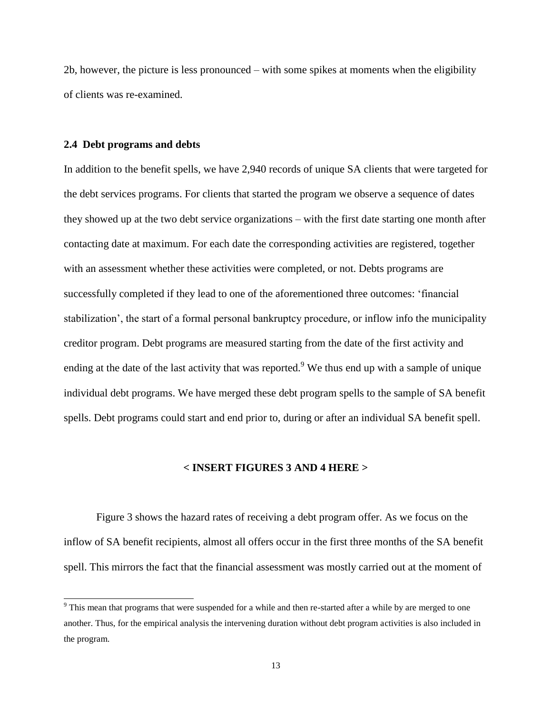2b, however, the picture is less pronounced – with some spikes at moments when the eligibility of clients was re-examined.

#### **2.4 Debt programs and debts**

l

In addition to the benefit spells, we have 2,940 records of unique SA clients that were targeted for the debt services programs. For clients that started the program we observe a sequence of dates they showed up at the two debt service organizations – with the first date starting one month after contacting date at maximum. For each date the corresponding activities are registered, together with an assessment whether these activities were completed, or not. Debts programs are successfully completed if they lead to one of the aforementioned three outcomes: 'financial stabilization', the start of a formal personal bankruptcy procedure, or inflow info the municipality creditor program. Debt programs are measured starting from the date of the first activity and ending at the date of the last activity that was reported.<sup>9</sup> We thus end up with a sample of unique individual debt programs. We have merged these debt program spells to the sample of SA benefit spells. Debt programs could start and end prior to, during or after an individual SA benefit spell.

#### **< INSERT FIGURES 3 AND 4 HERE >**

Figure 3 shows the hazard rates of receiving a debt program offer. As we focus on the inflow of SA benefit recipients, almost all offers occur in the first three months of the SA benefit spell. This mirrors the fact that the financial assessment was mostly carried out at the moment of

<sup>9</sup> This mean that programs that were suspended for a while and then re-started after a while by are merged to one another. Thus, for the empirical analysis the intervening duration without debt program activities is also included in the program.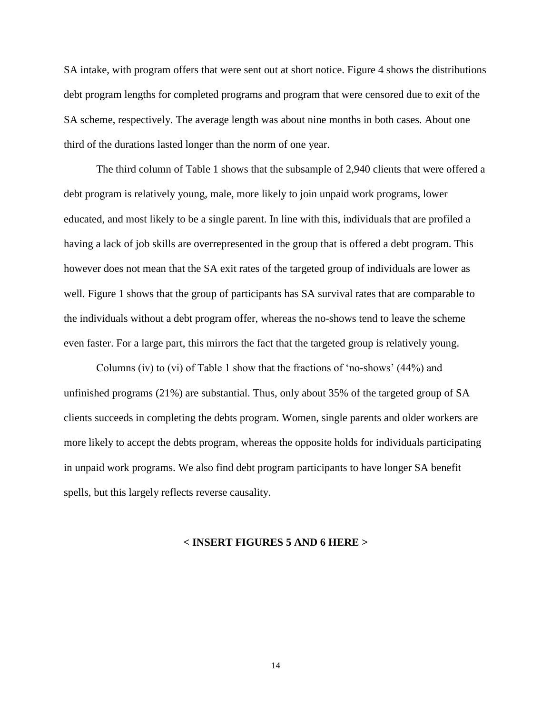SA intake, with program offers that were sent out at short notice. Figure 4 shows the distributions debt program lengths for completed programs and program that were censored due to exit of the SA scheme, respectively. The average length was about nine months in both cases. About one third of the durations lasted longer than the norm of one year.

The third column of Table 1 shows that the subsample of 2,940 clients that were offered a debt program is relatively young, male, more likely to join unpaid work programs, lower educated, and most likely to be a single parent. In line with this, individuals that are profiled a having a lack of job skills are overrepresented in the group that is offered a debt program. This however does not mean that the SA exit rates of the targeted group of individuals are lower as well. Figure 1 shows that the group of participants has SA survival rates that are comparable to the individuals without a debt program offer, whereas the no-shows tend to leave the scheme even faster. For a large part, this mirrors the fact that the targeted group is relatively young.

Columns (iv) to (vi) of Table 1 show that the fractions of 'no-shows' (44%) and unfinished programs (21%) are substantial. Thus, only about 35% of the targeted group of SA clients succeeds in completing the debts program. Women, single parents and older workers are more likely to accept the debts program, whereas the opposite holds for individuals participating in unpaid work programs. We also find debt program participants to have longer SA benefit spells, but this largely reflects reverse causality.

#### **< INSERT FIGURES 5 AND 6 HERE >**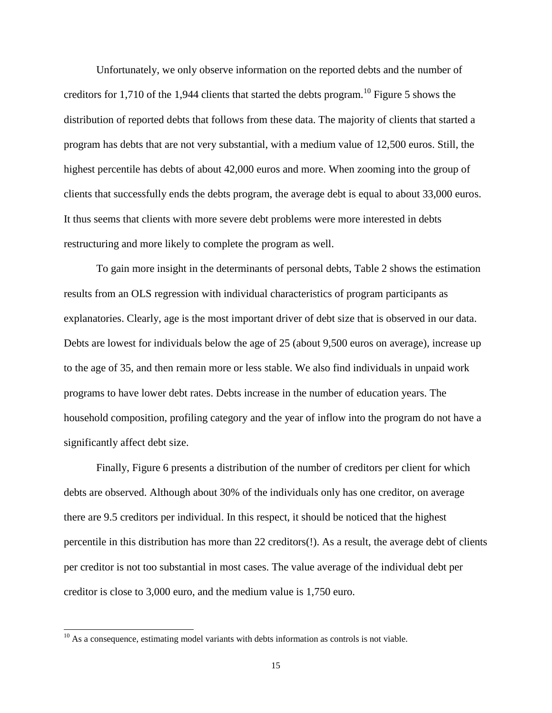Unfortunately, we only observe information on the reported debts and the number of creditors for 1,710 of the 1,944 clients that started the debts program.<sup>10</sup> Figure 5 shows the distribution of reported debts that follows from these data. The majority of clients that started a program has debts that are not very substantial, with a medium value of 12,500 euros. Still, the highest percentile has debts of about 42,000 euros and more. When zooming into the group of clients that successfully ends the debts program, the average debt is equal to about 33,000 euros. It thus seems that clients with more severe debt problems were more interested in debts restructuring and more likely to complete the program as well.

To gain more insight in the determinants of personal debts, Table 2 shows the estimation results from an OLS regression with individual characteristics of program participants as explanatories. Clearly, age is the most important driver of debt size that is observed in our data. Debts are lowest for individuals below the age of 25 (about 9,500 euros on average), increase up to the age of 35, and then remain more or less stable. We also find individuals in unpaid work programs to have lower debt rates. Debts increase in the number of education years. The household composition, profiling category and the year of inflow into the program do not have a significantly affect debt size.

Finally, Figure 6 presents a distribution of the number of creditors per client for which debts are observed. Although about 30% of the individuals only has one creditor, on average there are 9.5 creditors per individual. In this respect, it should be noticed that the highest percentile in this distribution has more than 22 creditors(!). As a result, the average debt of clients per creditor is not too substantial in most cases. The value average of the individual debt per creditor is close to 3,000 euro, and the medium value is 1,750 euro.

l

<sup>&</sup>lt;sup>10</sup> As a consequence, estimating model variants with debts information as controls is not viable.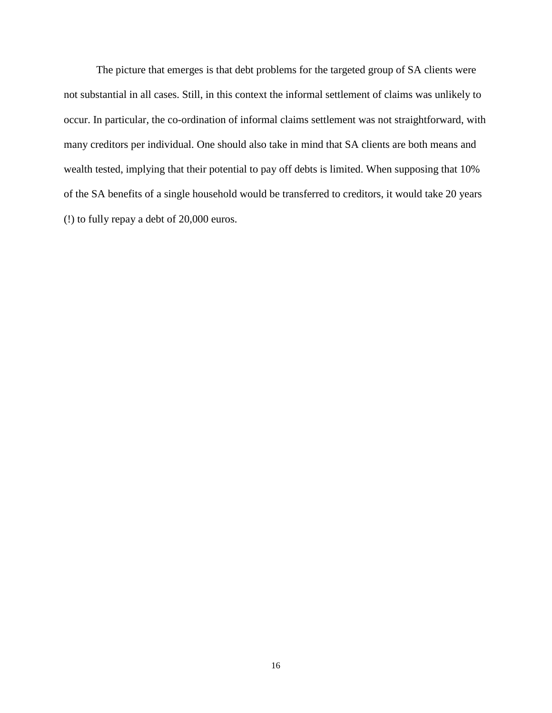The picture that emerges is that debt problems for the targeted group of SA clients were not substantial in all cases. Still, in this context the informal settlement of claims was unlikely to occur. In particular, the co-ordination of informal claims settlement was not straightforward, with many creditors per individual. One should also take in mind that SA clients are both means and wealth tested, implying that their potential to pay off debts is limited. When supposing that 10% of the SA benefits of a single household would be transferred to creditors, it would take 20 years (!) to fully repay a debt of 20,000 euros.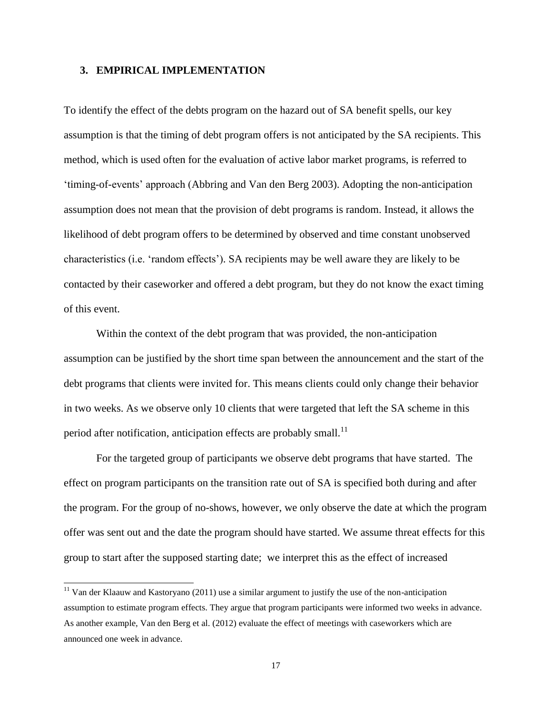#### **3. EMPIRICAL IMPLEMENTATION**

l

To identify the effect of the debts program on the hazard out of SA benefit spells, our key assumption is that the timing of debt program offers is not anticipated by the SA recipients. This method, which is used often for the evaluation of active labor market programs, is referred to 'timing-of-events' approach (Abbring and Van den Berg 2003). Adopting the non-anticipation assumption does not mean that the provision of debt programs is random. Instead, it allows the likelihood of debt program offers to be determined by observed and time constant unobserved characteristics (i.e. 'random effects'). SA recipients may be well aware they are likely to be contacted by their caseworker and offered a debt program, but they do not know the exact timing of this event.

Within the context of the debt program that was provided, the non-anticipation assumption can be justified by the short time span between the announcement and the start of the debt programs that clients were invited for. This means clients could only change their behavior in two weeks. As we observe only 10 clients that were targeted that left the SA scheme in this period after notification, anticipation effects are probably small.<sup>11</sup>

For the targeted group of participants we observe debt programs that have started. The effect on program participants on the transition rate out of SA is specified both during and after the program. For the group of no-shows, however, we only observe the date at which the program offer was sent out and the date the program should have started. We assume threat effects for this group to start after the supposed starting date; we interpret this as the effect of increased

<sup>&</sup>lt;sup>11</sup> Van der Klaauw and Kastoryano (2011) use a similar argument to justify the use of the non-anticipation assumption to estimate program effects. They argue that program participants were informed two weeks in advance. As another example, Van den Berg et al. (2012) evaluate the effect of meetings with caseworkers which are announced one week in advance.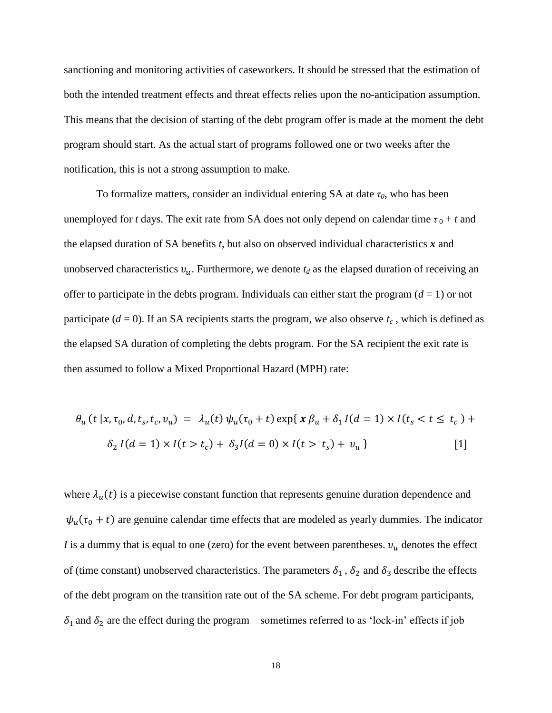sanctioning and monitoring activities of caseworkers. It should be stressed that the estimation of both the intended treatment effects and threat effects relies upon the no-anticipation assumption. This means that the decision of starting of the debt program offer is made at the moment the debt program should start. As the actual start of programs followed one or two weeks after the notification, this is not a strong assumption to make.

To formalize matters, consider an individual entering SA at date *τ0*, who has been unemployed for *t* days. The exit rate from SA does not only depend on calendar time  $\tau_0 + t$  and the elapsed duration of SA benefits *t*, but also on observed individual characteristics *x* and unobserved characteristics  $v_u$ . Furthermore, we denote  $t_d$  as the elapsed duration of receiving an offer to participate in the debts program. Individuals can either start the program  $(d = 1)$  or not participate ( $d = 0$ ). If an SA recipients starts the program, we also observe  $t_c$ , which is defined as the elapsed SA duration of completing the debts program. For the SA recipient the exit rate is then assumed to follow a Mixed Proportional Hazard (MPH) rate:

$$
\theta_u(t \mid x, \tau_0, d, t_s, t_c, v_u) = \lambda_u(t) \psi_u(\tau_0 + t) \exp\{ \chi \beta_u + \delta_1 I(d = 1) \times I(t_s < t \le t_c) + \delta_2 I(d = 1) \times I(t > t_c) + \delta_3 I(d = 0) \times I(t > t_s) + v_u \} \tag{1}
$$

where  $\lambda_{\mu}(t)$  is a piecewise constant function that represents genuine duration dependence and  $\psi_u(\tau_0 + t)$  are genuine calendar time effects that are modeled as yearly dummies. The indicator *I* is a dummy that is equal to one (zero) for the event between parentheses.  $v_u$  denotes the effect of (time constant) unobserved characteristics. The parameters  $\delta_1$ ,  $\delta_2$  and  $\delta_3$  describe the effects of the debt program on the transition rate out of the SA scheme. For debt program participants,  $\delta_1$  and  $\delta_2$  are the effect during the program – sometimes referred to as 'lock-in' effects if job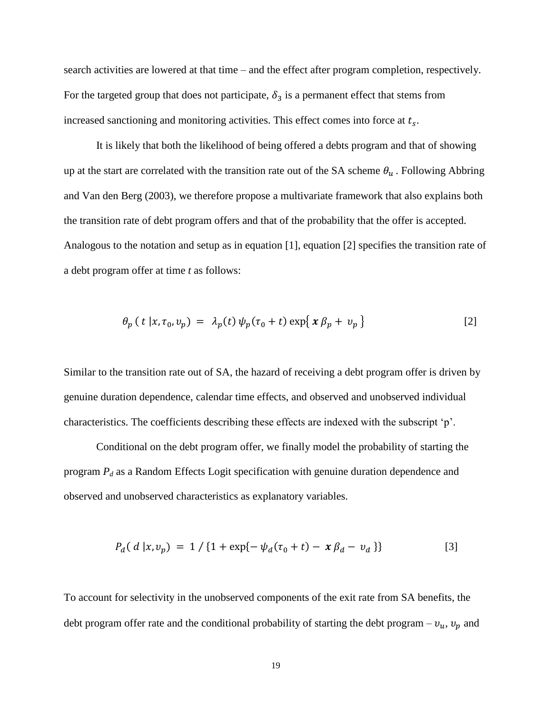search activities are lowered at that time – and the effect after program completion, respectively. For the targeted group that does not participate,  $\delta_3$  is a permanent effect that stems from increased sanctioning and monitoring activities. This effect comes into force at  $t_s$ .

It is likely that both the likelihood of being offered a debts program and that of showing up at the start are correlated with the transition rate out of the SA scheme  $\theta_u$ . Following Abbring and Van den Berg (2003), we therefore propose a multivariate framework that also explains both the transition rate of debt program offers and that of the probability that the offer is accepted. Analogous to the notation and setup as in equation [1], equation [2] specifies the transition rate of a debt program offer at time *t* as follows:

$$
\theta_p(t \mid x, \tau_0, v_p) = \lambda_p(t) \psi_p(\tau_0 + t) \exp\{x \beta_p + v_p\}
$$
 [2]

Similar to the transition rate out of SA, the hazard of receiving a debt program offer is driven by genuine duration dependence, calendar time effects, and observed and unobserved individual characteristics. The coefficients describing these effects are indexed with the subscript 'p'.

Conditional on the debt program offer, we finally model the probability of starting the program *P<sup>d</sup>* as a Random Effects Logit specification with genuine duration dependence and observed and unobserved characteristics as explanatory variables.

$$
P_d(d | x, v_p) = 1 / \{1 + \exp\{-\psi_d(\tau_0 + t) - x\beta_d - v_d\}\}\tag{3}
$$

To account for selectivity in the unobserved components of the exit rate from SA benefits, the debt program offer rate and the conditional probability of starting the debt program –  $v_u$ ,  $v_p$  and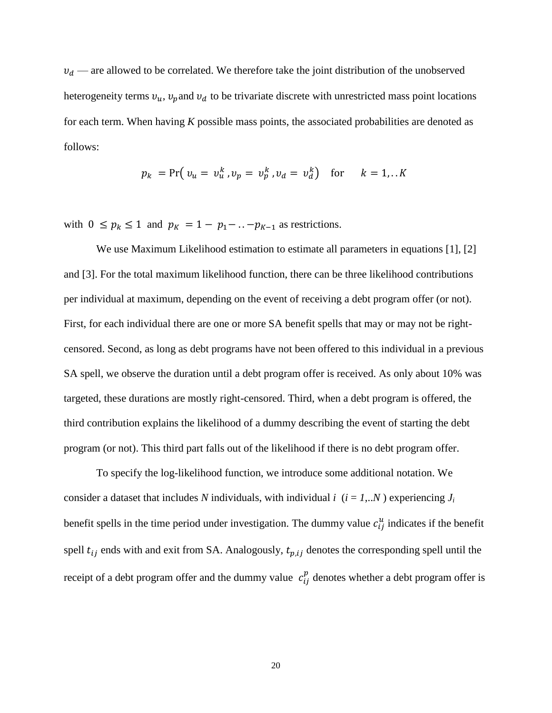$v_d$  — are allowed to be correlated. We therefore take the joint distribution of the unobserved heterogeneity terms  $v_u$ ,  $v_p$  and  $v_d$  to be trivariate discrete with unrestricted mass point locations for each term. When having *K* possible mass points, the associated probabilities are denoted as follows:

$$
p_k = Pr(v_u = v_u^k, v_p = v_p^k, v_d = v_d^k)
$$
 for  $k = 1,..K$ 

with  $0 \le p_k \le 1$  and  $p_k = 1 - p_1 - \ldots - p_{k-1}$  as restrictions.

We use Maximum Likelihood estimation to estimate all parameters in equations [1], [2] and [3]. For the total maximum likelihood function, there can be three likelihood contributions per individual at maximum, depending on the event of receiving a debt program offer (or not). First, for each individual there are one or more SA benefit spells that may or may not be rightcensored. Second, as long as debt programs have not been offered to this individual in a previous SA spell, we observe the duration until a debt program offer is received. As only about 10% was targeted, these durations are mostly right-censored. Third, when a debt program is offered, the third contribution explains the likelihood of a dummy describing the event of starting the debt program (or not). This third part falls out of the likelihood if there is no debt program offer.

To specify the log-likelihood function, we introduce some additional notation. We consider a dataset that includes *N* individuals, with individual *i*  $(i = 1,..N)$  experiencing  $J_i$ benefit spells in the time period under investigation. The dummy value  $c_{ij}^u$  indicates if the benefit spell  $t_{ij}$  ends with and exit from SA. Analogously,  $t_{p,ij}$  denotes the corresponding spell until the receipt of a debt program offer and the dummy value  $c_i^p$  denotes whether a debt program offer is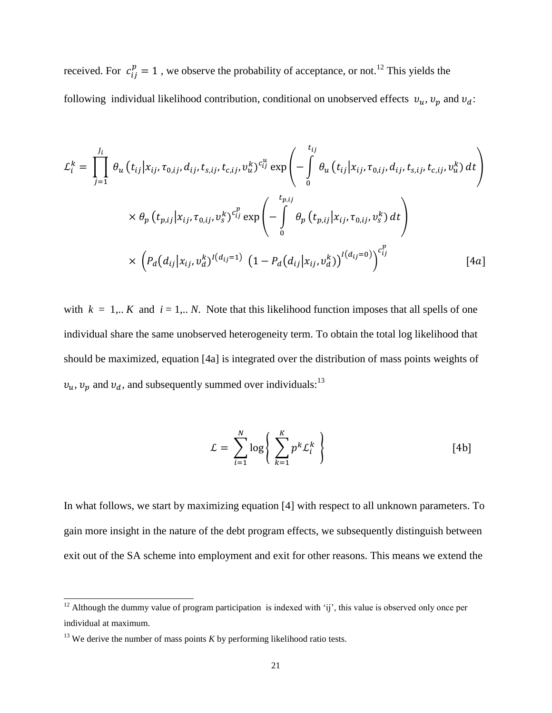received. For  $c_{ii}^p = 1$ , we observe the probability of acceptance, or not.<sup>12</sup> This yields the following individual likelihood contribution, conditional on unobserved effects  $v_u$ ,  $v_p$  and  $v_d$ :

$$
\mathcal{L}_{i}^{k} = \prod_{j=1}^{J_{i}} \theta_{u} (t_{ij}|x_{ij}, \tau_{0,ij}, d_{ij}, t_{s,ij}, t_{c,ij}, v_{u}^{k})^{c_{ij}^{u}} \exp \left(-\int_{0}^{t_{ij}} \theta_{u} (t_{ij}|x_{ij}, \tau_{0,ij}, d_{ij}, t_{s,ij}, t_{c,ij}, v_{u}^{k}) dt\right)
$$

$$
\times \theta_{p} (t_{p,ij}|x_{ij}, \tau_{0,ij}, v_{s}^{k})^{c_{ij}^{p}} \exp \left(-\int_{0}^{t_{p,ij}} \theta_{p} (t_{p,ij}|x_{ij}, \tau_{0,ij}, v_{s}^{k}) dt\right)
$$

$$
\times \left(P_{d} (d_{ij}|x_{ij}, v_{d}^{k})^{I(d_{ij}=1)} (1 - P_{d} (d_{ij}|x_{ij}, v_{d}^{k}))^{I(d_{ij}=0)}\right)^{c_{ij}^{p}}
$$
[4a]

with  $k = 1... K$  and  $i = 1... N$ . Note that this likelihood function imposes that all spells of one individual share the same unobserved heterogeneity term. To obtain the total log likelihood that should be maximized, equation [4a] is integrated over the distribution of mass points weights of  $v_u$ ,  $v_p$  and  $v_d$ , and subsequently summed over individuals:<sup>13</sup>

$$
\mathcal{L} = \sum_{i=1}^{N} \log \left\{ \sum_{k=1}^{K} p^k \mathcal{L}_i^k \right\} \tag{4b}
$$

In what follows, we start by maximizing equation [4] with respect to all unknown parameters. To gain more insight in the nature of the debt program effects, we subsequently distinguish between exit out of the SA scheme into employment and exit for other reasons. This means we extend the

l

<sup>&</sup>lt;sup>12</sup> Although the dummy value of program participation is indexed with 'ij', this value is observed only once per individual at maximum.

 $13$  We derive the number of mass points *K* by performing likelihood ratio tests.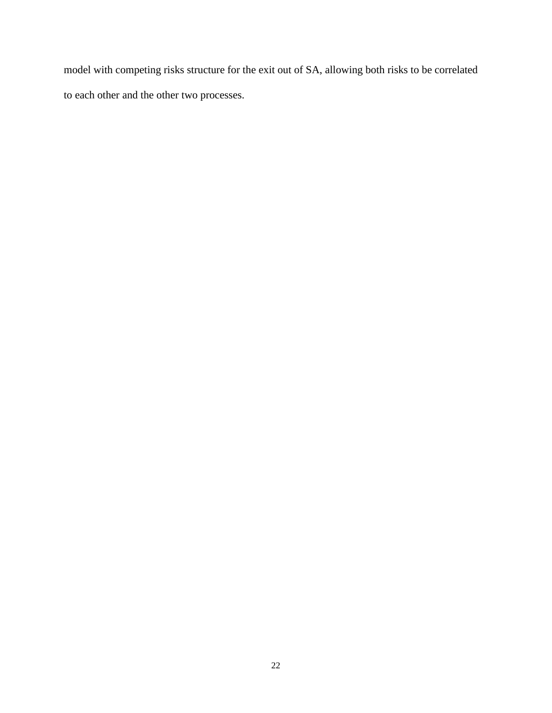model with competing risks structure for the exit out of SA, allowing both risks to be correlated to each other and the other two processes.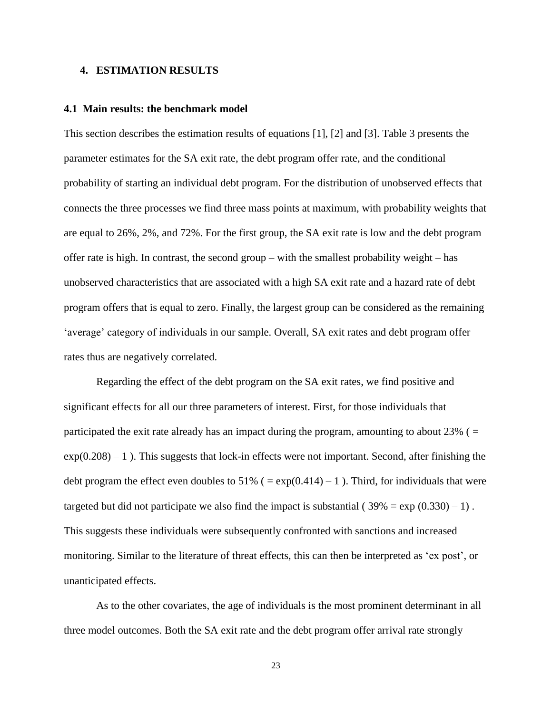#### **4. ESTIMATION RESULTS**

#### **4.1 Main results: the benchmark model**

This section describes the estimation results of equations [1], [2] and [3]. Table 3 presents the parameter estimates for the SA exit rate, the debt program offer rate, and the conditional probability of starting an individual debt program. For the distribution of unobserved effects that connects the three processes we find three mass points at maximum, with probability weights that are equal to 26%, 2%, and 72%. For the first group, the SA exit rate is low and the debt program offer rate is high. In contrast, the second group – with the smallest probability weight – has unobserved characteristics that are associated with a high SA exit rate and a hazard rate of debt program offers that is equal to zero. Finally, the largest group can be considered as the remaining 'average' category of individuals in our sample. Overall, SA exit rates and debt program offer rates thus are negatively correlated.

Regarding the effect of the debt program on the SA exit rates, we find positive and significant effects for all our three parameters of interest. First, for those individuals that participated the exit rate already has an impact during the program, amounting to about  $23\%$  ( $=$  $\exp(0.208) - 1$ ). This suggests that lock-in effects were not important. Second, after finishing the debt program the effect even doubles to 51% ( $= \exp(0.414) - 1$ ). Third, for individuals that were targeted but did not participate we also find the impact is substantial ( $39\% = \exp(0.330) - 1$ ). This suggests these individuals were subsequently confronted with sanctions and increased monitoring. Similar to the literature of threat effects, this can then be interpreted as 'ex post', or unanticipated effects.

As to the other covariates, the age of individuals is the most prominent determinant in all three model outcomes. Both the SA exit rate and the debt program offer arrival rate strongly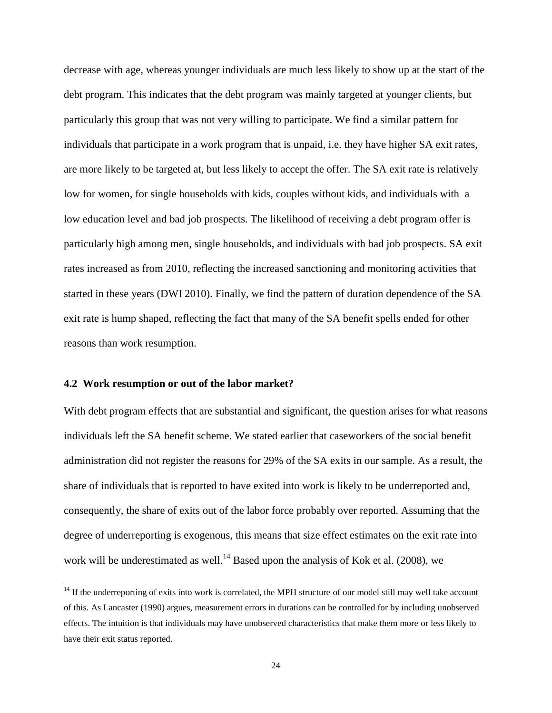decrease with age, whereas younger individuals are much less likely to show up at the start of the debt program. This indicates that the debt program was mainly targeted at younger clients, but particularly this group that was not very willing to participate. We find a similar pattern for individuals that participate in a work program that is unpaid, i.e. they have higher SA exit rates, are more likely to be targeted at, but less likely to accept the offer. The SA exit rate is relatively low for women, for single households with kids, couples without kids, and individuals with a low education level and bad job prospects. The likelihood of receiving a debt program offer is particularly high among men, single households, and individuals with bad job prospects. SA exit rates increased as from 2010, reflecting the increased sanctioning and monitoring activities that started in these years (DWI 2010). Finally, we find the pattern of duration dependence of the SA exit rate is hump shaped, reflecting the fact that many of the SA benefit spells ended for other reasons than work resumption.

#### **4.2 Work resumption or out of the labor market?**

l

With debt program effects that are substantial and significant, the question arises for what reasons individuals left the SA benefit scheme. We stated earlier that caseworkers of the social benefit administration did not register the reasons for 29% of the SA exits in our sample. As a result, the share of individuals that is reported to have exited into work is likely to be underreported and, consequently, the share of exits out of the labor force probably over reported. Assuming that the degree of underreporting is exogenous, this means that size effect estimates on the exit rate into work will be underestimated as well.<sup>14</sup> Based upon the analysis of Kok et al. (2008), we

 $14$  If the underreporting of exits into work is correlated, the MPH structure of our model still may well take account of this. As Lancaster (1990) argues, measurement errors in durations can be controlled for by including unobserved effects. The intuition is that individuals may have unobserved characteristics that make them more or less likely to have their exit status reported.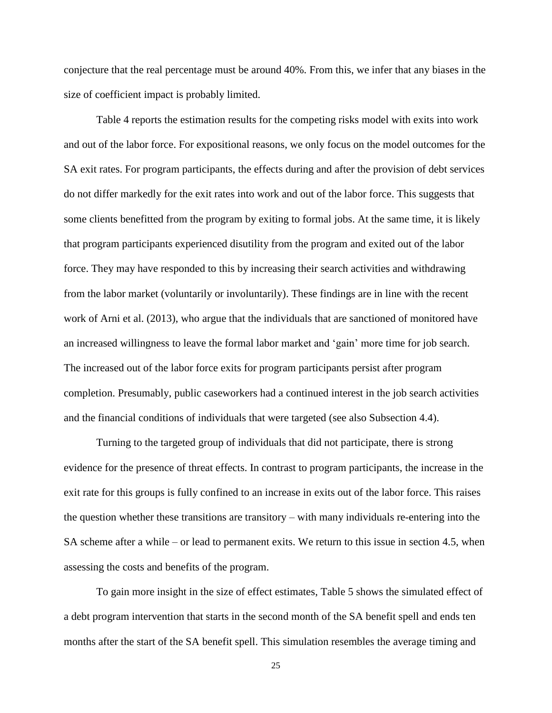conjecture that the real percentage must be around 40%. From this, we infer that any biases in the size of coefficient impact is probably limited.

Table 4 reports the estimation results for the competing risks model with exits into work and out of the labor force. For expositional reasons, we only focus on the model outcomes for the SA exit rates. For program participants, the effects during and after the provision of debt services do not differ markedly for the exit rates into work and out of the labor force. This suggests that some clients benefitted from the program by exiting to formal jobs. At the same time, it is likely that program participants experienced disutility from the program and exited out of the labor force. They may have responded to this by increasing their search activities and withdrawing from the labor market (voluntarily or involuntarily). These findings are in line with the recent work of Arni et al. (2013), who argue that the individuals that are sanctioned of monitored have an increased willingness to leave the formal labor market and 'gain' more time for job search. The increased out of the labor force exits for program participants persist after program completion. Presumably, public caseworkers had a continued interest in the job search activities and the financial conditions of individuals that were targeted (see also Subsection 4.4).

Turning to the targeted group of individuals that did not participate, there is strong evidence for the presence of threat effects. In contrast to program participants, the increase in the exit rate for this groups is fully confined to an increase in exits out of the labor force. This raises the question whether these transitions are transitory – with many individuals re-entering into the SA scheme after a while – or lead to permanent exits. We return to this issue in section 4.5, when assessing the costs and benefits of the program.

To gain more insight in the size of effect estimates, Table 5 shows the simulated effect of a debt program intervention that starts in the second month of the SA benefit spell and ends ten months after the start of the SA benefit spell. This simulation resembles the average timing and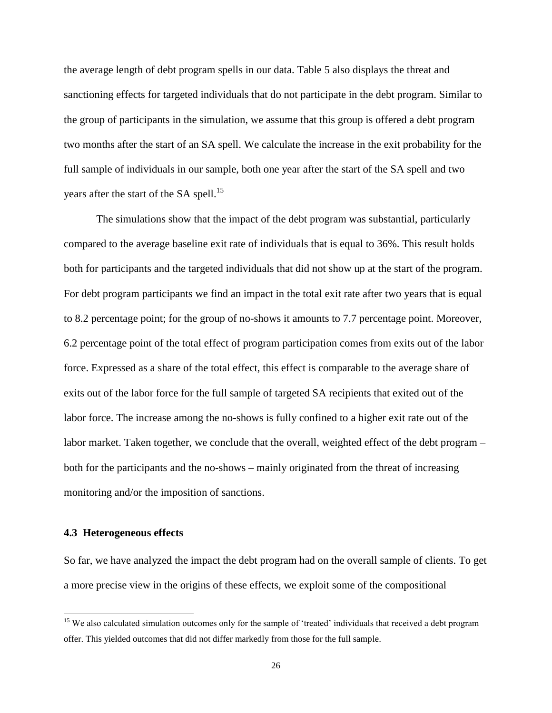the average length of debt program spells in our data. Table 5 also displays the threat and sanctioning effects for targeted individuals that do not participate in the debt program. Similar to the group of participants in the simulation, we assume that this group is offered a debt program two months after the start of an SA spell. We calculate the increase in the exit probability for the full sample of individuals in our sample, both one year after the start of the SA spell and two years after the start of the SA spell.<sup>15</sup>

The simulations show that the impact of the debt program was substantial, particularly compared to the average baseline exit rate of individuals that is equal to 36%. This result holds both for participants and the targeted individuals that did not show up at the start of the program. For debt program participants we find an impact in the total exit rate after two years that is equal to 8.2 percentage point; for the group of no-shows it amounts to 7.7 percentage point. Moreover, 6.2 percentage point of the total effect of program participation comes from exits out of the labor force. Expressed as a share of the total effect, this effect is comparable to the average share of exits out of the labor force for the full sample of targeted SA recipients that exited out of the labor force. The increase among the no-shows is fully confined to a higher exit rate out of the labor market. Taken together, we conclude that the overall, weighted effect of the debt program – both for the participants and the no-shows – mainly originated from the threat of increasing monitoring and/or the imposition of sanctions.

#### **4.3 Heterogeneous effects**

l

So far, we have analyzed the impact the debt program had on the overall sample of clients. To get a more precise view in the origins of these effects, we exploit some of the compositional

<sup>&</sup>lt;sup>15</sup> We also calculated simulation outcomes only for the sample of 'treated' individuals that received a debt program offer. This yielded outcomes that did not differ markedly from those for the full sample.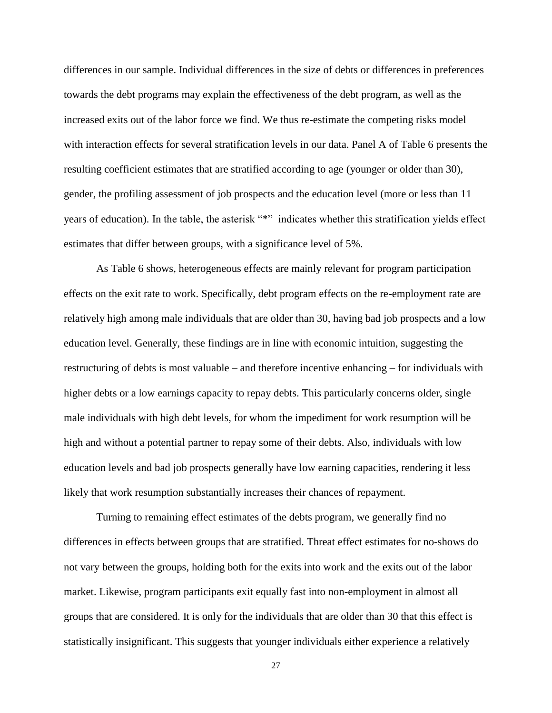differences in our sample. Individual differences in the size of debts or differences in preferences towards the debt programs may explain the effectiveness of the debt program, as well as the increased exits out of the labor force we find. We thus re-estimate the competing risks model with interaction effects for several stratification levels in our data. Panel A of Table 6 presents the resulting coefficient estimates that are stratified according to age (younger or older than 30), gender, the profiling assessment of job prospects and the education level (more or less than 11 years of education). In the table, the asterisk "\*" indicates whether this stratification yields effect estimates that differ between groups, with a significance level of 5%.

As Table 6 shows, heterogeneous effects are mainly relevant for program participation effects on the exit rate to work. Specifically, debt program effects on the re-employment rate are relatively high among male individuals that are older than 30, having bad job prospects and a low education level. Generally, these findings are in line with economic intuition, suggesting the restructuring of debts is most valuable – and therefore incentive enhancing – for individuals with higher debts or a low earnings capacity to repay debts. This particularly concerns older, single male individuals with high debt levels, for whom the impediment for work resumption will be high and without a potential partner to repay some of their debts. Also, individuals with low education levels and bad job prospects generally have low earning capacities, rendering it less likely that work resumption substantially increases their chances of repayment.

Turning to remaining effect estimates of the debts program, we generally find no differences in effects between groups that are stratified. Threat effect estimates for no-shows do not vary between the groups, holding both for the exits into work and the exits out of the labor market. Likewise, program participants exit equally fast into non-employment in almost all groups that are considered. It is only for the individuals that are older than 30 that this effect is statistically insignificant. This suggests that younger individuals either experience a relatively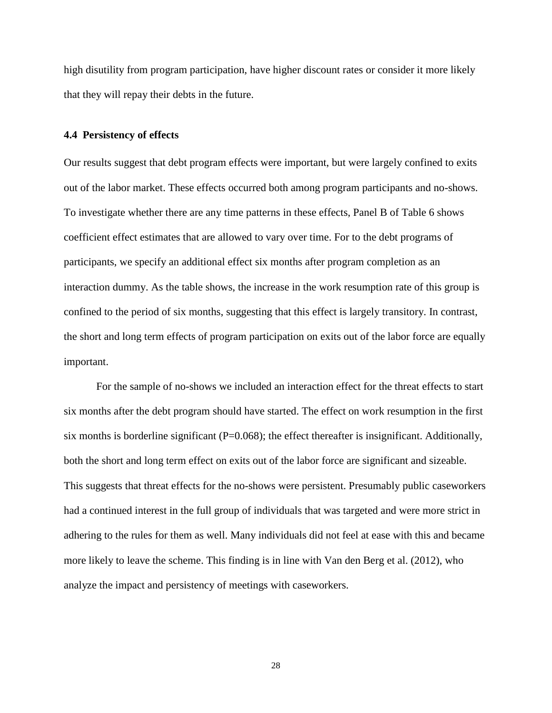high disutility from program participation, have higher discount rates or consider it more likely that they will repay their debts in the future.

#### **4.4 Persistency of effects**

Our results suggest that debt program effects were important, but were largely confined to exits out of the labor market. These effects occurred both among program participants and no-shows. To investigate whether there are any time patterns in these effects, Panel B of Table 6 shows coefficient effect estimates that are allowed to vary over time. For to the debt programs of participants, we specify an additional effect six months after program completion as an interaction dummy. As the table shows, the increase in the work resumption rate of this group is confined to the period of six months, suggesting that this effect is largely transitory. In contrast, the short and long term effects of program participation on exits out of the labor force are equally important.

For the sample of no-shows we included an interaction effect for the threat effects to start six months after the debt program should have started. The effect on work resumption in the first six months is borderline significant (P=0.068); the effect thereafter is insignificant. Additionally, both the short and long term effect on exits out of the labor force are significant and sizeable. This suggests that threat effects for the no-shows were persistent. Presumably public caseworkers had a continued interest in the full group of individuals that was targeted and were more strict in adhering to the rules for them as well. Many individuals did not feel at ease with this and became more likely to leave the scheme. This finding is in line with Van den Berg et al. (2012), who analyze the impact and persistency of meetings with caseworkers.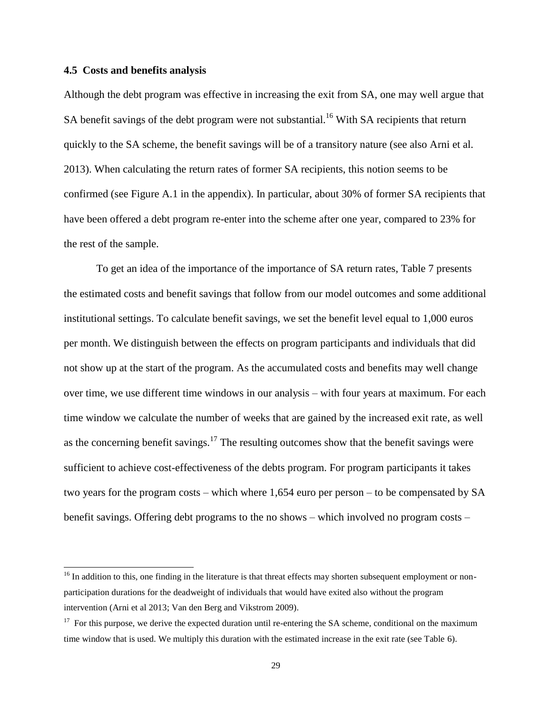#### **4.5 Costs and benefits analysis**

l

Although the debt program was effective in increasing the exit from SA, one may well argue that SA benefit savings of the debt program were not substantial.<sup>16</sup> With SA recipients that return quickly to the SA scheme, the benefit savings will be of a transitory nature (see also Arni et al. 2013). When calculating the return rates of former SA recipients, this notion seems to be confirmed (see Figure A.1 in the appendix). In particular, about 30% of former SA recipients that have been offered a debt program re-enter into the scheme after one year, compared to 23% for the rest of the sample.

To get an idea of the importance of the importance of SA return rates, Table 7 presents the estimated costs and benefit savings that follow from our model outcomes and some additional institutional settings. To calculate benefit savings, we set the benefit level equal to 1,000 euros per month. We distinguish between the effects on program participants and individuals that did not show up at the start of the program. As the accumulated costs and benefits may well change over time, we use different time windows in our analysis – with four years at maximum. For each time window we calculate the number of weeks that are gained by the increased exit rate, as well as the concerning benefit savings.<sup>17</sup> The resulting outcomes show that the benefit savings were sufficient to achieve cost-effectiveness of the debts program. For program participants it takes two years for the program costs – which where 1,654 euro per person – to be compensated by SA benefit savings. Offering debt programs to the no shows – which involved no program costs –

<sup>&</sup>lt;sup>16</sup> In addition to this, one finding in the literature is that threat effects may shorten subsequent employment or nonparticipation durations for the deadweight of individuals that would have exited also without the program intervention (Arni et al 2013; Van den Berg and Vikstrom 2009).

 $17$  For this purpose, we derive the expected duration until re-entering the SA scheme, conditional on the maximum time window that is used. We multiply this duration with the estimated increase in the exit rate (see Table 6).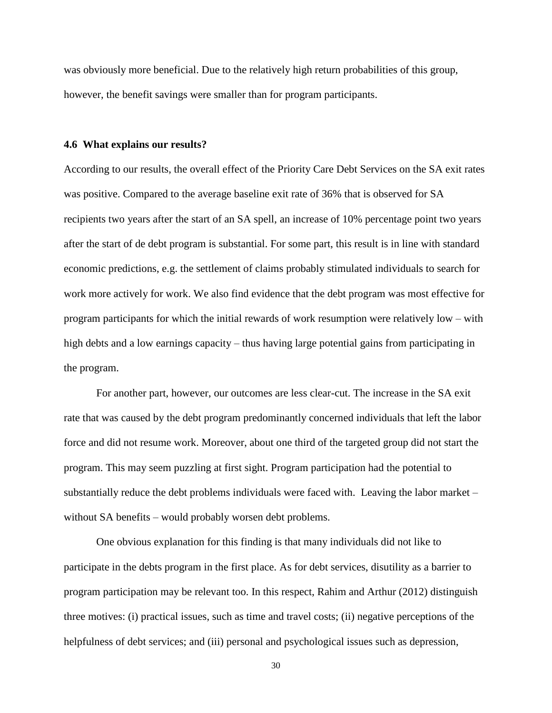was obviously more beneficial. Due to the relatively high return probabilities of this group, however, the benefit savings were smaller than for program participants.

#### **4.6 What explains our results?**

According to our results, the overall effect of the Priority Care Debt Services on the SA exit rates was positive. Compared to the average baseline exit rate of 36% that is observed for SA recipients two years after the start of an SA spell, an increase of 10% percentage point two years after the start of de debt program is substantial. For some part, this result is in line with standard economic predictions, e.g. the settlement of claims probably stimulated individuals to search for work more actively for work. We also find evidence that the debt program was most effective for program participants for which the initial rewards of work resumption were relatively low – with high debts and a low earnings capacity – thus having large potential gains from participating in the program.

For another part, however, our outcomes are less clear-cut. The increase in the SA exit rate that was caused by the debt program predominantly concerned individuals that left the labor force and did not resume work. Moreover, about one third of the targeted group did not start the program. This may seem puzzling at first sight. Program participation had the potential to substantially reduce the debt problems individuals were faced with. Leaving the labor market – without SA benefits – would probably worsen debt problems.

One obvious explanation for this finding is that many individuals did not like to participate in the debts program in the first place. As for debt services, disutility as a barrier to program participation may be relevant too. In this respect, Rahim and Arthur (2012) distinguish three motives: (i) practical issues, such as time and travel costs; (ii) negative perceptions of the helpfulness of debt services; and (iii) personal and psychological issues such as depression,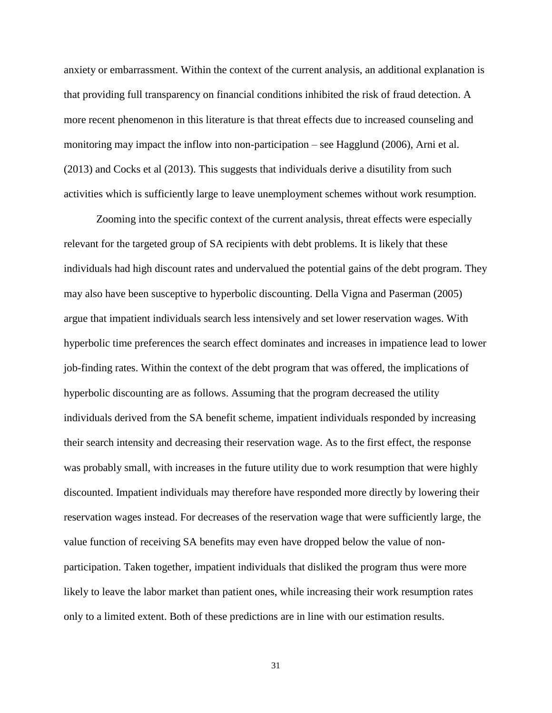anxiety or embarrassment. Within the context of the current analysis, an additional explanation is that providing full transparency on financial conditions inhibited the risk of fraud detection. A more recent phenomenon in this literature is that threat effects due to increased counseling and monitoring may impact the inflow into non-participation – see Hagglund (2006), Arni et al. (2013) and Cocks et al (2013). This suggests that individuals derive a disutility from such activities which is sufficiently large to leave unemployment schemes without work resumption.

Zooming into the specific context of the current analysis, threat effects were especially relevant for the targeted group of SA recipients with debt problems. It is likely that these individuals had high discount rates and undervalued the potential gains of the debt program. They may also have been susceptive to hyperbolic discounting. Della Vigna and Paserman (2005) argue that impatient individuals search less intensively and set lower reservation wages. With hyperbolic time preferences the search effect dominates and increases in impatience lead to lower job-finding rates. Within the context of the debt program that was offered, the implications of hyperbolic discounting are as follows. Assuming that the program decreased the utility individuals derived from the SA benefit scheme, impatient individuals responded by increasing their search intensity and decreasing their reservation wage. As to the first effect, the response was probably small, with increases in the future utility due to work resumption that were highly discounted. Impatient individuals may therefore have responded more directly by lowering their reservation wages instead. For decreases of the reservation wage that were sufficiently large, the value function of receiving SA benefits may even have dropped below the value of nonparticipation. Taken together, impatient individuals that disliked the program thus were more likely to leave the labor market than patient ones, while increasing their work resumption rates only to a limited extent. Both of these predictions are in line with our estimation results.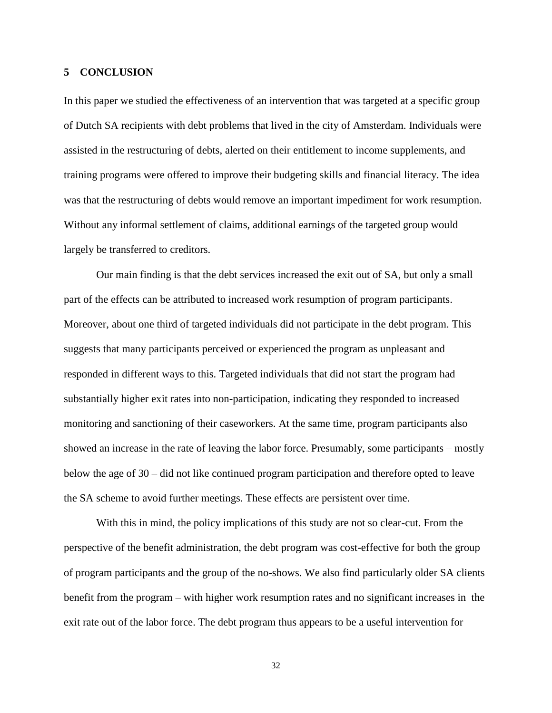#### **5 CONCLUSION**

In this paper we studied the effectiveness of an intervention that was targeted at a specific group of Dutch SA recipients with debt problems that lived in the city of Amsterdam. Individuals were assisted in the restructuring of debts, alerted on their entitlement to income supplements, and training programs were offered to improve their budgeting skills and financial literacy. The idea was that the restructuring of debts would remove an important impediment for work resumption. Without any informal settlement of claims, additional earnings of the targeted group would largely be transferred to creditors.

Our main finding is that the debt services increased the exit out of SA, but only a small part of the effects can be attributed to increased work resumption of program participants. Moreover, about one third of targeted individuals did not participate in the debt program. This suggests that many participants perceived or experienced the program as unpleasant and responded in different ways to this. Targeted individuals that did not start the program had substantially higher exit rates into non-participation, indicating they responded to increased monitoring and sanctioning of their caseworkers. At the same time, program participants also showed an increase in the rate of leaving the labor force. Presumably, some participants – mostly below the age of 30 – did not like continued program participation and therefore opted to leave the SA scheme to avoid further meetings. These effects are persistent over time.

With this in mind, the policy implications of this study are not so clear-cut. From the perspective of the benefit administration, the debt program was cost-effective for both the group of program participants and the group of the no-shows. We also find particularly older SA clients benefit from the program – with higher work resumption rates and no significant increases in the exit rate out of the labor force. The debt program thus appears to be a useful intervention for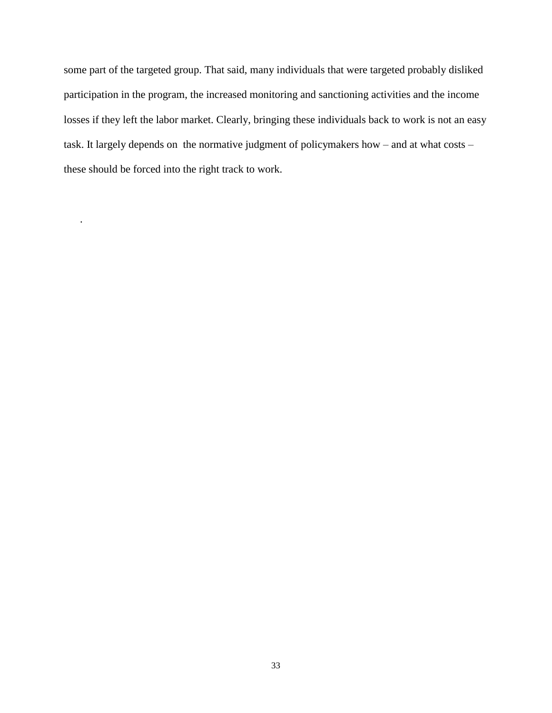some part of the targeted group. That said, many individuals that were targeted probably disliked participation in the program, the increased monitoring and sanctioning activities and the income losses if they left the labor market. Clearly, bringing these individuals back to work is not an easy task. It largely depends on the normative judgment of policymakers how – and at what costs – these should be forced into the right track to work.

.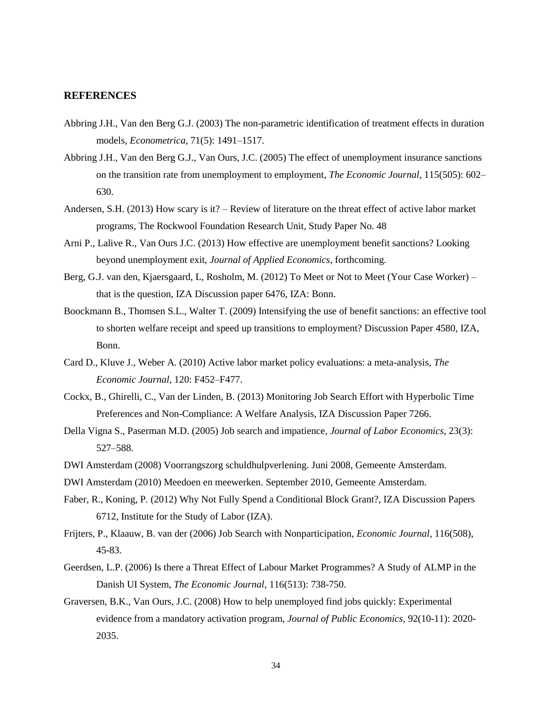#### **REFERENCES**

- Abbring J.H., Van den Berg G.J. (2003) The non-parametric identification of treatment effects in duration models, *Econometrica*, 71(5): 1491–1517.
- Abbring J.H., Van den Berg G.J., Van Ours, J.C. (2005) The effect of unemployment insurance sanctions on the transition rate from unemployment to employment, *The Economic Journal*, 115(505): 602– 630.
- Andersen, S.H. (2013) How scary is it? Review of literature on the threat effect of active labor market programs, The Rockwool Foundation Research Unit, Study Paper No. 48
- Arni P., Lalive R., Van Ours J.C. (2013) How effective are unemployment benefit sanctions? Looking beyond unemployment exit, *Journal of Applied Economics*, forthcoming.
- Berg, G.J. van den, Kjaersgaard, L, Rosholm, M. (2012) To Meet or Not to Meet (Your Case Worker) that is the question, IZA Discussion paper 6476, IZA: Bonn.
- Boockmann B., Thomsen S.L., Walter T. (2009) Intensifying the use of benefit sanctions: an effective tool to shorten welfare receipt and speed up transitions to employment? Discussion Paper 4580, IZA, Bonn.
- Card D., Kluve J., Weber A. (2010) Active labor market policy evaluations: a meta-analysis, *The Economic Journal*, 120: F452–F477.
- Cockx, B., Ghirelli, C., Van der Linden, B. (2013) Monitoring Job Search Effort with Hyperbolic Time Preferences and Non-Compliance: A Welfare Analysis, IZA Discussion Paper 7266.
- Della Vigna S., Paserman M.D. (2005) Job search and impatience*, Journal of Labor Economics*, 23(3): 527–588.
- DWI Amsterdam (2008) Voorrangszorg schuldhulpverlening. Juni 2008, Gemeente Amsterdam.
- DWI Amsterdam (2010) Meedoen en meewerken. September 2010, Gemeente Amsterdam.
- Faber, R., Koning, P. (2012) Why Not Fully Spend a Conditional Block Grant?, IZA Discussion Papers 6712, Institute for the Study of Labor (IZA).
- Frijters, P., Klaauw, B. van der (2006) Job Search with Nonparticipation, *Economic Journal*, 116(508), 45-83.
- Geerdsen, L.P. (2006) Is there a Threat Effect of Labour Market Programmes? A Study of ALMP in the Danish UI System, *The Economic Journal*, 116(513): 738-750.
- Graversen, B.K., Van Ours, J.C. (2008) How to help unemployed find jobs quickly: Experimental evidence from a mandatory activation program, *Journal of Public Economics*, 92(10-11): 2020- 2035.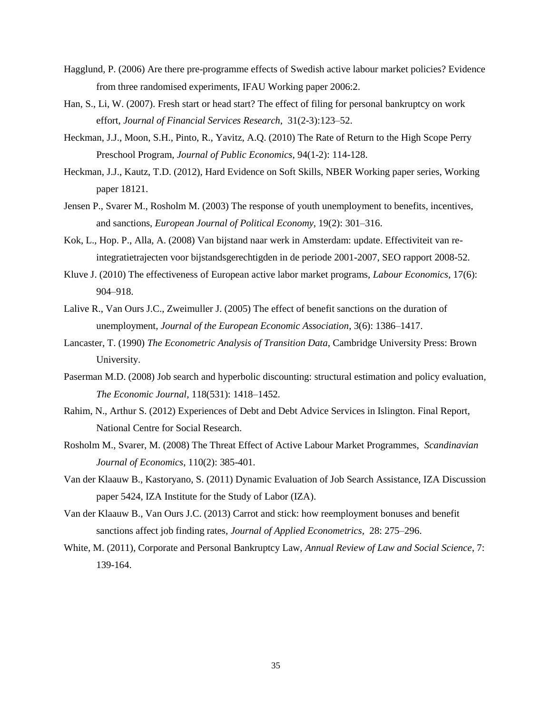- Hagglund, P. (2006) Are there pre-programme effects of Swedish active labour market policies? Evidence from three randomised experiments, IFAU Working paper 2006:2.
- Han, S., Li, W. (2007). Fresh start or head start? The effect of filing for personal bankruptcy on work effort, *Journal of Financial Services Research*, 31(2-3):123–52.
- Heckman, J.J., Moon, S.H., Pinto, R., Yavitz, A.Q. (2010) The Rate of Return to the High Scope Perry Preschool Program, *Journal of Public Economics*, 94(1-2): 114-128.
- Heckman, J.J., Kautz, T.D. (2012), Hard Evidence on Soft Skills, NBER Working paper series, Working paper 18121.
- Jensen P., Svarer M., Rosholm M. (2003) The response of youth unemployment to benefits, incentives, and sanctions, *European Journal of Political Economy,* 19(2): 301–316.
- Kok, L., Hop. P., Alla, A. (2008) Van bijstand naar werk in Amsterdam: update. Effectiviteit van reintegratietrajecten voor bijstandsgerechtigden in de periode 2001-2007, SEO rapport 2008-52.
- Kluve J. (2010) The effectiveness of European active labor market programs, *Labour Economics*, 17(6): 904–918.
- Lalive R., Van Ours J.C., Zweimuller J. (2005) The effect of benefit sanctions on the duration of unemployment, *Journal of the European Economic Association*, 3(6): 1386–1417.
- Lancaster, T. (1990) *The Econometric Analysis of Transition Data*, Cambridge University Press: Brown University.
- Paserman M.D. (2008) Job search and hyperbolic discounting: structural estimation and policy evaluation*, The Economic Journal*, 118(531): 1418–1452.
- Rahim, N., Arthur S. (2012) Experiences of Debt and Debt Advice Services in Islington. Final Report, National Centre for Social Research.
- Rosholm M., Svarer, M. (2008) The Threat Effect of Active Labour Market Programmes, *Scandinavian Journal of Economics*, 110(2): 385-401.
- Van der Klaauw B., Kastoryano, S. (2011) Dynamic Evaluation of Job Search Assistance, IZA Discussion paper 5424, IZA Institute for the Study of Labor (IZA).
- Van der Klaauw B., Van Ours J.C. (2013) Carrot and stick: how reemployment bonuses and benefit sanctions affect job finding rates, *Journal of Applied Econometrics*, 28: 275–296.
- White, M. (2011), Corporate and Personal Bankruptcy Law, *Annual Review of Law and Social Science*, 7: 139-164.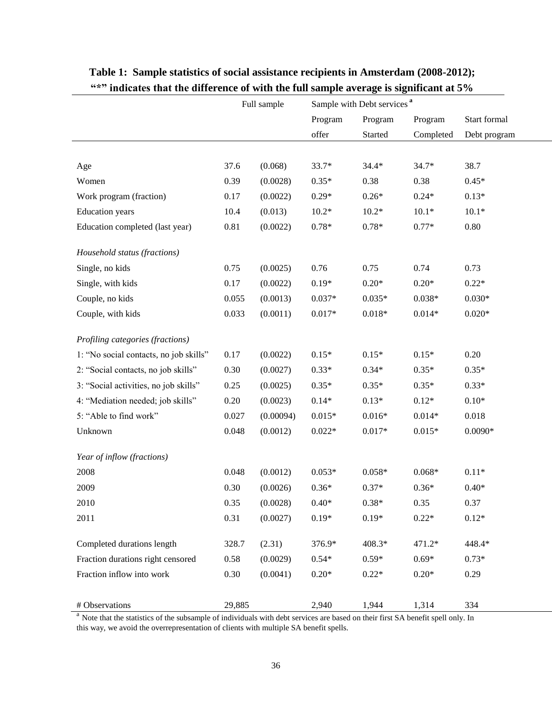|                                        | Full sample |           | Sample with Debt services <sup>a</sup> |          |           |              |
|----------------------------------------|-------------|-----------|----------------------------------------|----------|-----------|--------------|
|                                        |             |           | Program                                | Program  | Program   | Start formal |
|                                        |             |           | offer                                  | Started  | Completed | Debt program |
|                                        |             |           |                                        |          |           |              |
| Age                                    | 37.6        | (0.068)   | 33.7*                                  | $34.4*$  | $34.7*$   | 38.7         |
| Women                                  | 0.39        | (0.0028)  | $0.35*$                                | 0.38     | 0.38      | $0.45*$      |
| Work program (fraction)                | 0.17        | (0.0022)  | $0.29*$                                | $0.26*$  | $0.24*$   | $0.13*$      |
| <b>Education</b> years                 | 10.4        | (0.013)   | $10.2*$                                | $10.2*$  | $10.1*$   | $10.1*$      |
| Education completed (last year)        | $0.81\,$    | (0.0022)  | $0.78*$                                | $0.78*$  | $0.77*$   | 0.80         |
| Household status (fractions)           |             |           |                                        |          |           |              |
| Single, no kids                        | 0.75        | (0.0025)  | $0.76\,$                               | 0.75     | 0.74      | 0.73         |
| Single, with kids                      | 0.17        | (0.0022)  | $0.19*$                                | $0.20*$  | $0.20*$   | $0.22*$      |
| Couple, no kids                        | 0.055       | (0.0013)  | $0.037*$                               | $0.035*$ | $0.038*$  | $0.030*$     |
| Couple, with kids                      | 0.033       | (0.0011)  | $0.017*$                               | $0.018*$ | $0.014*$  | $0.020*$     |
| Profiling categories (fractions)       |             |           |                                        |          |           |              |
| 1: "No social contacts, no job skills" | 0.17        | (0.0022)  | $0.15*$                                | $0.15*$  | $0.15*$   | 0.20         |
| 2: "Social contacts, no job skills"    | 0.30        | (0.0027)  | $0.33*$                                | $0.34*$  | $0.35*$   | $0.35*$      |
| 3: "Social activities, no job skills"  | 0.25        | (0.0025)  | $0.35*$                                | $0.35*$  | $0.35*$   | $0.33*$      |
| 4: "Mediation needed; job skills"      | 0.20        | (0.0023)  | $0.14*$                                | $0.13*$  | $0.12*$   | $0.10*$      |
| 5: "Able to find work"                 | 0.027       | (0.00094) | $0.015*$                               | $0.016*$ | $0.014*$  | 0.018        |
| Unknown                                | 0.048       | (0.0012)  | $0.022*$                               | $0.017*$ | $0.015*$  | $0.0090*$    |
| Year of inflow (fractions)             |             |           |                                        |          |           |              |
| 2008                                   | 0.048       | (0.0012)  | $0.053*$                               | $0.058*$ | $0.068*$  | $0.11*$      |
| 2009                                   | 0.30        | (0.0026)  | $0.36*$                                | $0.37*$  | $0.36*$   | $0.40*$      |
| 2010                                   | 0.35        | (0.0028)  | $0.40*$                                | $0.38*$  | 0.35      | 0.37         |
| 2011                                   | 0.31        | (0.0027)  | $0.19*$                                | $0.19*$  | $0.22*$   | $0.12*$      |
| Completed durations length             | 328.7       | (2.31)    | 376.9*                                 | 408.3*   | 471.2*    | 448.4*       |
| Fraction durations right censored      | 0.58        | (0.0029)  | $0.54*$                                | $0.59*$  | $0.69*$   | $0.73*$      |
| Fraction inflow into work              | $0.30\,$    | (0.0041)  | $0.20*$                                | $0.22*$  | $0.20*$   | 0.29         |
| # Observations                         | 29,885      |           | 2,940                                  | 1,944    | 1,314     | 334          |

## **Table 1: Sample statistics of social assistance recipients in Amsterdam (2008-2012); "\*" indicates that the difference of with the full sample average is significant at 5%**

<sup>a</sup> Note that the statistics of the subsample of individuals with debt services are based on their first SA benefit spell only. In this way, we avoid the overrepresentation of clients with multiple SA benefit spells.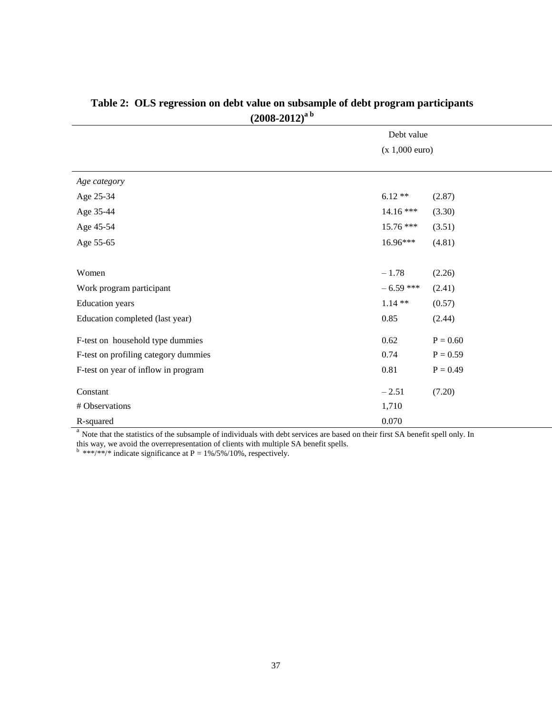| $- - -$                              |                          |            |
|--------------------------------------|--------------------------|------------|
|                                      | Debt value               |            |
|                                      | $(x 1,000 \text{ euro})$ |            |
|                                      |                          |            |
| Age category                         |                          |            |
| Age 25-34                            | $6.12**$                 | (2.87)     |
| Age 35-44                            | $14.16***$               | (3.30)     |
| Age 45-54                            | 15.76 ***                | (3.51)     |
| Age 55-65                            | 16.96***                 | (4.81)     |
|                                      |                          |            |
| Women                                | $-1.78$                  | (2.26)     |
| Work program participant             | $-6.59$ ***              | (2.41)     |
| <b>Education</b> years               | $1.14**$                 | (0.57)     |
| Education completed (last year)      | 0.85                     | (2.44)     |
| F-test on household type dummies     | 0.62                     | $P = 0.60$ |
| F-test on profiling category dummies | 0.74                     | $P = 0.59$ |
| F-test on year of inflow in program  | 0.81                     | $P = 0.49$ |
| Constant                             | $-2.51$                  | (7.20)     |
| # Observations                       | 1,710                    |            |
| R-squared                            | 0.070                    |            |

## **Table 2: OLS regression on debt value on subsample of debt program participants (2008-2012)a b**

<sup>a</sup> Note that the statistics of the subsample of individuals with debt services are based on their first SA benefit spell only. In this way, we avoid the overrepresentation of clients with multiple SA benefit spells.

 $b$  \*\*\*/\*\*/\* indicate significance at P = 1%/5%/10%, respectively.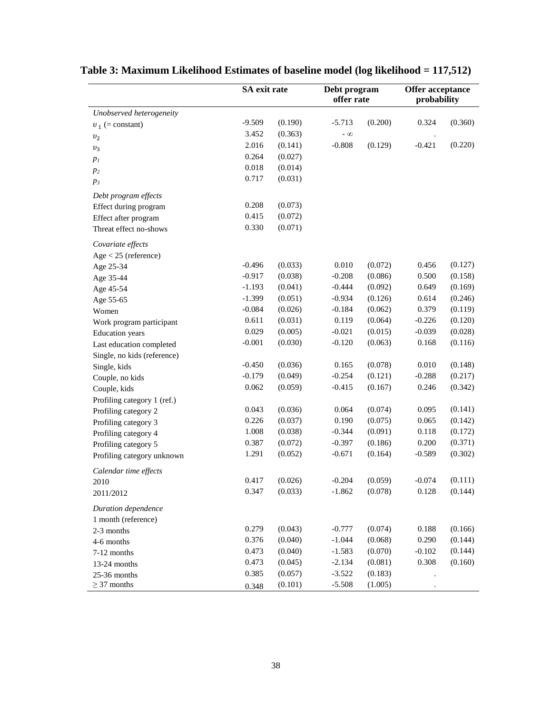|                             | SA exit rate |         | Debt program<br>offer rate |         | Offer acceptance<br>probability |         |
|-----------------------------|--------------|---------|----------------------------|---------|---------------------------------|---------|
| Unobserved heterogeneity    |              |         |                            |         |                                 |         |
| $v_1$ (= constant)          | $-9.509$     | (0.190) | $-5.713$                   | (0.200) | 0.324                           | (0.360) |
| v <sub>2</sub>              | 3.452        | (0.363) | $-\infty$                  |         |                                 |         |
| $\boldsymbol{v}_3$          | 2.016        | (0.141) | $-0.808$                   | (0.129) | $-0.421$                        | (0.220) |
| $p_I$                       | 0.264        | (0.027) |                            |         |                                 |         |
| $p_2$                       | 0.018        | (0.014) |                            |         |                                 |         |
| $p_3$                       | 0.717        | (0.031) |                            |         |                                 |         |
| Debt program effects        |              |         |                            |         |                                 |         |
| Effect during program       | 0.208        | (0.073) |                            |         |                                 |         |
| Effect after program        | 0.415        | (0.072) |                            |         |                                 |         |
| Threat effect no-shows      | 0.330        | (0.071) |                            |         |                                 |         |
| Covariate effects           |              |         |                            |         |                                 |         |
| $Age < 25$ (reference)      |              |         |                            |         |                                 |         |
| Age 25-34                   | $-0.496$     | (0.033) | 0.010                      | (0.072) | 0.456                           | (0.127) |
| Age 35-44                   | $-0.917$     | (0.038) | $-0.208$                   | (0.086) | 0.500                           | (0.158) |
| Age 45-54                   | $-1.193$     | (0.041) | $-0.444$                   | (0.092) | 0.649                           | (0.169) |
| Age 55-65                   | $-1.399$     | (0.051) | $-0.934$                   | (0.126) | 0.614                           | (0.246) |
| Women                       | $-0.084$     | (0.026) | $-0.184$                   | (0.062) | 0.379                           | (0.119) |
| Work program participant    | 0.611        | (0.031) | 0.119                      | (0.064) | $-0.226$                        | (0.120) |
| <b>Education</b> years      | 0.029        | (0.005) | $-0.021$                   | (0.015) | $-0.039$                        | (0.028) |
| Last education completed    | $-0.001$     | (0.030) | $-0.120$                   | (0.063) | 0.168                           | (0.116) |
| Single, no kids (reference) |              |         |                            |         |                                 |         |
| Single, kids                | $-0.450$     | (0.036) | 0.165                      | (0.078) | 0.010                           | (0.148) |
| Couple, no kids             | $-0.179$     | (0.049) | $-0.254$                   | (0.121) | $-0.288$                        | (0.217) |
| Couple, kids                | 0.062        | (0.059) | $-0.415$                   | (0.167) | 0.246                           | (0.342) |
| Profiling category 1 (ref.) |              |         |                            |         |                                 |         |
| Profiling category 2        | 0.043        | (0.036) | 0.064                      | (0.074) | 0.095                           | (0.141) |
| Profiling category 3        | 0.226        | (0.037) | 0.190                      | (0.075) | 0.065                           | (0.142) |
| Profiling category 4        | 1.008        | (0.038) | $-0.344$                   | (0.091) | 0.118                           | (0.172) |
| Profiling category 5        | 0.387        | (0.072) | $-0.397$                   | (0.186) | 0.200                           | (0.371) |
| Profiling category unknown  | 1.291        | (0.052) | $-0.671$                   | (0.164) | $-0.589$                        | (0.302) |
| Calendar time effects       |              |         |                            |         |                                 |         |
| 2010                        | 0.417        | (0.026) | $-0.204$                   | (0.059) | $-0.074$                        | (0.111) |
| 2011/2012                   | 0.347        | (0.033) | $-1.862$                   | (0.078) | 0.128                           | (0.144) |
| Duration dependence         |              |         |                            |         |                                 |         |
| 1 month (reference)         |              |         |                            |         |                                 |         |
| 2-3 months                  | 0.279        | (0.043) | $-0.777$                   | (0.074) | 0.188                           | (0.166) |
| 4-6 months                  | 0.376        | (0.040) | $-1.044$                   | (0.068) | 0.290                           | (0.144) |
| 7-12 months                 | 0.473        | (0.040) | $-1.583$                   | (0.070) | $-0.102$                        | (0.144) |
| 13-24 months                | 0.473        | (0.045) | $-2.134$                   | (0.081) | 0.308                           | (0.160) |
| 25-36 months                | 0.385        | (0.057) | $-3.522$                   | (0.183) |                                 |         |
| $\geq$ 37 months            | 0.348        | (0.101) | $-5.508$                   | (1.005) |                                 |         |

# **Table 3: Maximum Likelihood Estimates of baseline model (log likelihood = 117,512)**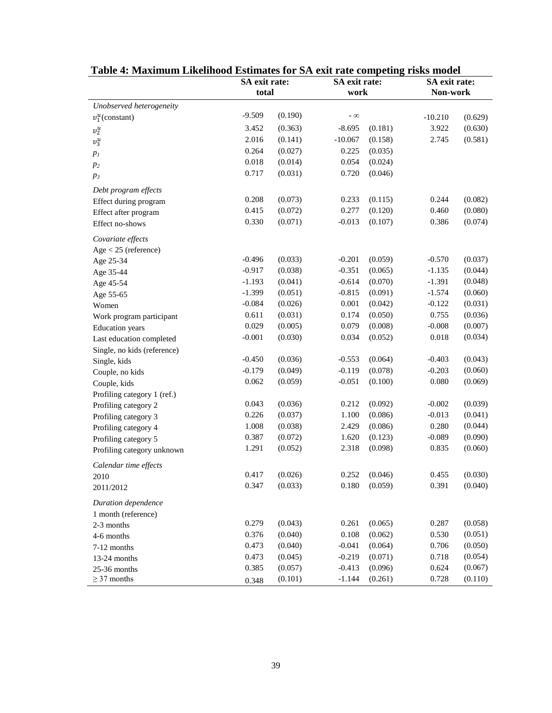|                             | SA exit rate: |         | SA exit rate: |         | SA exit rate: |         |
|-----------------------------|---------------|---------|---------------|---------|---------------|---------|
|                             | total         |         | work          |         | Non-work      |         |
| Unobserved heterogeneity    |               |         |               |         |               |         |
| $v_1^u$ (constant)          | $-9.509$      | (0.190) | $ \infty$     |         | $-10.210$     | (0.629) |
| $v_2^u$                     | 3.452         | (0.363) | $-8.695$      | (0.181) | 3.922         | (0.630) |
| $v_3^u$                     | 2.016         | (0.141) | $-10.067$     | (0.158) | 2.745         | (0.581) |
| p <sub>I</sub>              | 0.264         | (0.027) | 0.225         | (0.035) |               |         |
| $p_2$                       | 0.018         | (0.014) | 0.054         | (0.024) |               |         |
| $p_3$                       | 0.717         | (0.031) | 0.720         | (0.046) |               |         |
| Debt program effects        |               |         |               |         |               |         |
| Effect during program       | 0.208         | (0.073) | 0.233         | (0.115) | 0.244         | (0.082) |
| Effect after program        | 0.415         | (0.072) | 0.277         | (0.120) | 0.460         | (0.080) |
| Effect no-shows             | 0.330         | (0.071) | $-0.013$      | (0.107) | 0.386         | (0.074) |
| Covariate effects           |               |         |               |         |               |         |
| $Age < 25$ (reference)      |               |         |               |         |               |         |
| Age 25-34                   | $-0.496$      | (0.033) | $-0.201$      | (0.059) | $-0.570$      | (0.037) |
| Age 35-44                   | $-0.917$      | (0.038) | $-0.351$      | (0.065) | $-1.135$      | (0.044) |
| Age 45-54                   | $-1.193$      | (0.041) | $-0.614$      | (0.070) | $-1.391$      | (0.048) |
| Age 55-65                   | $-1.399$      | (0.051) | $-0.815$      | (0.091) | $-1.574$      | (0.060) |
| Women                       | $-0.084$      | (0.026) | 0.001         | (0.042) | $-0.122$      | (0.031) |
| Work program participant    | 0.611         | (0.031) | 0.174         | (0.050) | 0.755         | (0.036) |
| <b>Education</b> years      | 0.029         | (0.005) | 0.079         | (0.008) | $-0.008$      | (0.007) |
| Last education completed    | $-0.001$      | (0.030) | 0.034         | (0.052) | 0.018         | (0.034) |
| Single, no kids (reference) |               |         |               |         |               |         |
| Single, kids                | $-0.450$      | (0.036) | $-0.553$      | (0.064) | $-0.403$      | (0.043) |
| Couple, no kids             | $-0.179$      | (0.049) | $-0.119$      | (0.078) | $-0.203$      | (0.060) |
| Couple, kids                | 0.062         | (0.059) | $-0.051$      | (0.100) | 0.080         | (0.069) |
| Profiling category 1 (ref.) |               |         |               |         |               |         |
| Profiling category 2        | 0.043         | (0.036) | 0.212         | (0.092) | $-0.002$      | (0.039) |
| Profiling category 3        | 0.226         | (0.037) | 1.100         | (0.086) | $-0.013$      | (0.041) |
| Profiling category 4        | 1.008         | (0.038) | 2.429         | (0.086) | 0.280         | (0.044) |
| Profiling category 5        | 0.387         | (0.072) | 1.620         | (0.123) | $-0.089$      | (0.090) |
| Profiling category unknown  | 1.291         | (0.052) | 2.318         | (0.098) | 0.835         | (0.060) |
| Calendar time effects       |               |         |               |         |               |         |
| 2010                        | 0.417         | (0.026) | 0.252         | (0.046) | 0.455         | (0.030) |
| 2011/2012                   | 0.347         | (0.033) | 0.180         | (0.059) | 0.391         | (0.040) |
| Duration dependence         |               |         |               |         |               |         |
| 1 month (reference)         |               |         |               |         |               |         |
| 2-3 months                  | 0.279         | (0.043) | 0.261         | (0.065) | 0.287         | (0.058) |
| 4-6 months                  | 0.376         | (0.040) | 0.108         | (0.062) | 0.530         | (0.051) |
| 7-12 months                 | 0.473         | (0.040) | $-0.041$      | (0.064) | 0.706         | (0.050) |
| 13-24 months                | 0.473         | (0.045) | $-0.219$      | (0.071) | 0.718         | (0.054) |
| 25-36 months                | 0.385         | (0.057) | $-0.413$      | (0.096) | 0.624         | (0.067) |
| $\geq$ 37 months            | 0.348         | (0.101) | $-1.144$      | (0.261) | 0.728         | (0.110) |

**Table 4: Maximum Likelihood Estimates for SA exit rate competing risks model**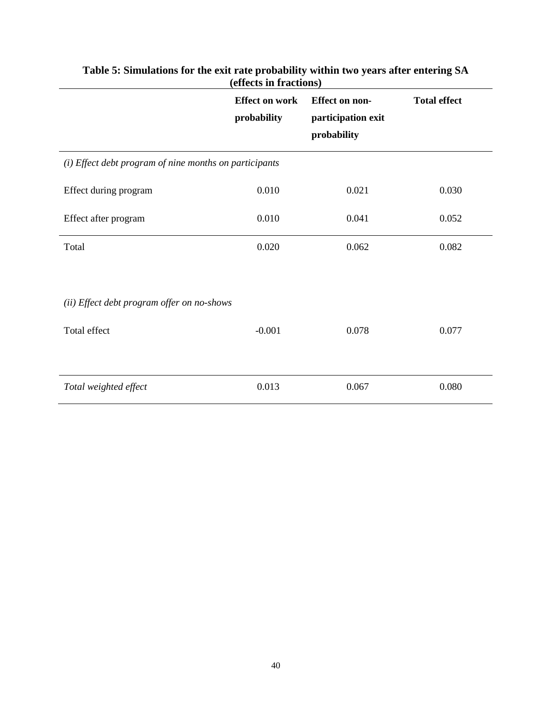|                                                            | <b>Effect on work</b><br>probability | <b>Effect on non-</b><br>participation exit<br>probability | <b>Total effect</b> |
|------------------------------------------------------------|--------------------------------------|------------------------------------------------------------|---------------------|
| (i) Effect debt program of nine months on participants     |                                      |                                                            |                     |
| Effect during program                                      | 0.010                                | 0.021                                                      | 0.030               |
| Effect after program                                       | 0.010                                | 0.041                                                      | 0.052               |
| Total                                                      | 0.020                                | 0.062                                                      | 0.082               |
| (ii) Effect debt program offer on no-shows<br>Total effect | $-0.001$                             | 0.078                                                      | 0.077               |
| Total weighted effect                                      | 0.013                                | 0.067                                                      | 0.080               |

### **Table 5: Simulations for the exit rate probability within two years after entering SA (effects in fractions)**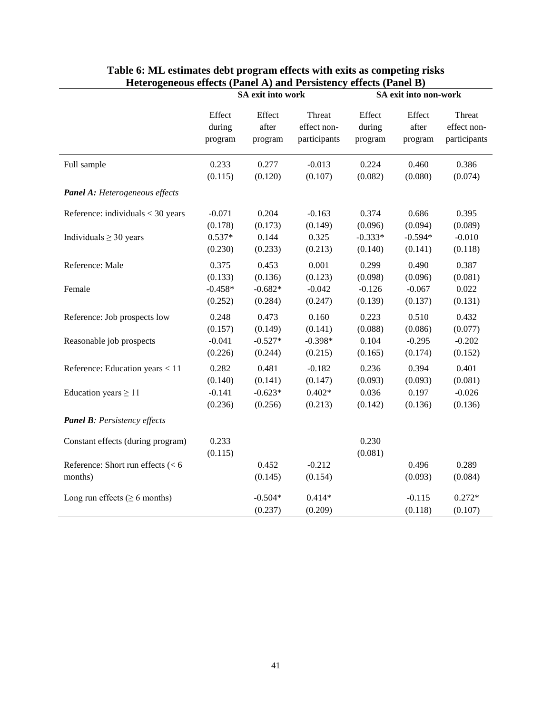|                                                | SA exit into work |                      |                     | SA exit into non-work |                     |                     |
|------------------------------------------------|-------------------|----------------------|---------------------|-----------------------|---------------------|---------------------|
|                                                | Effect            | Effect               | Threat              | Effect                | Effect              | Threat              |
|                                                | during            | after                | effect non-         | during                | after               | effect non-         |
|                                                | program           | program              | participants        | program               | program             | participants        |
| Full sample                                    | 0.233             | 0.277                | $-0.013$            | 0.224                 | 0.460               | 0.386               |
|                                                | (0.115)           | (0.120)              | (0.107)             | (0.082)               | (0.080)             | (0.074)             |
| <b>Panel A:</b> Heterogeneous effects          |                   |                      |                     |                       |                     |                     |
| Reference: individuals $<$ 30 years            | $-0.071$          | 0.204                | $-0.163$            | 0.374                 | 0.686               | 0.395               |
|                                                | (0.178)           | (0.173)              | (0.149)             | (0.096)               | (0.094)             | (0.089)             |
| Individuals $\geq$ 30 years                    | $0.537*$          | 0.144                | 0.325               | $-0.333*$             | $-0.594*$           | $-0.010$            |
|                                                | (0.230)           | (0.233)              | (0.213)             | (0.140)               | (0.141)             | (0.118)             |
| Reference: Male                                | 0.375             | 0.453                | 0.001               | 0.299                 | 0.490               | 0.387               |
|                                                | (0.133)           | (0.136)              | (0.123)             | (0.098)               | (0.096)             | (0.081)             |
| Female                                         | $-0.458*$         | $-0.682*$            | $-0.042$            | $-0.126$              | $-0.067$            | 0.022               |
|                                                | (0.252)           | (0.284)              | (0.247)             | (0.139)               | (0.137)             | (0.131)             |
| Reference: Job prospects low                   | 0.248             | 0.473                | 0.160               | 0.223                 | 0.510               | 0.432               |
|                                                | (0.157)           | (0.149)              | (0.141)             | (0.088)               | (0.086)             | (0.077)             |
| Reasonable job prospects                       | $-0.041$          | $-0.527*$            | $-0.398*$           | 0.104                 | $-0.295$            | $-0.202$            |
|                                                | (0.226)           | (0.244)              | (0.215)             | (0.165)               | (0.174)             | (0.152)             |
| Reference: Education years < 11                | 0.282             | 0.481                | $-0.182$            | 0.236                 | 0.394               | 0.401               |
|                                                | (0.140)           | (0.141)              | (0.147)             | (0.093)               | (0.093)             | (0.081)             |
| Education years $\geq 11$                      | $-0.141$          | $-0.623*$            | $0.402*$            | 0.036                 | 0.197               | $-0.026$            |
|                                                | (0.236)           | (0.256)              | (0.213)             | (0.142)               | (0.136)             | (0.136)             |
| <b>Panel B:</b> Persistency effects            |                   |                      |                     |                       |                     |                     |
| Constant effects (during program)              | 0.233<br>(0.115)  |                      |                     | 0.230<br>(0.081)      |                     |                     |
| Reference: Short run effects $(< 6$<br>months) |                   | 0.452<br>(0.145)     | $-0.212$<br>(0.154) |                       | 0.496<br>(0.093)    | 0.289<br>(0.084)    |
| Long run effects ( $\geq 6$ months)            |                   | $-0.504*$<br>(0.237) | $0.414*$<br>(0.209) |                       | $-0.115$<br>(0.118) | $0.272*$<br>(0.107) |

### **Table 6: ML estimates debt program effects with exits as competing risks Heterogeneous effects (Panel A) and Persistency effects (Panel B)**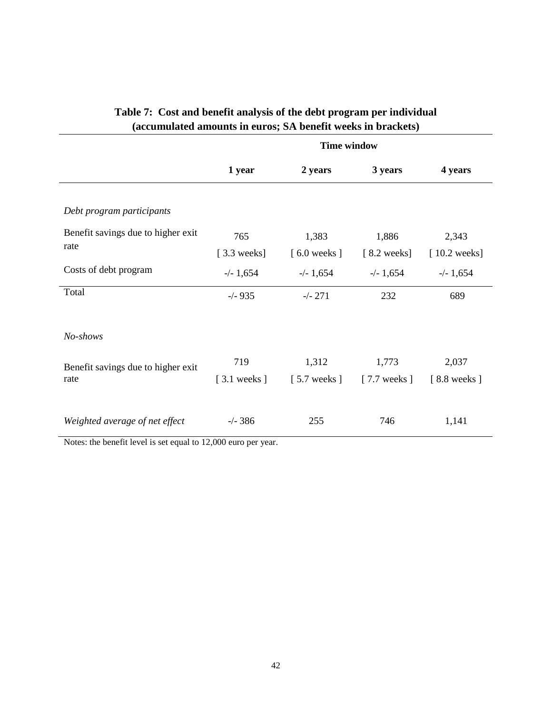|                                                                                                                       | <b>Time window</b>           |                                |                                |                         |  |  |
|-----------------------------------------------------------------------------------------------------------------------|------------------------------|--------------------------------|--------------------------------|-------------------------|--|--|
|                                                                                                                       | 1 year                       | 2 years                        | 3 years                        | 4 years                 |  |  |
| Debt program participants                                                                                             |                              |                                |                                |                         |  |  |
| Benefit savings due to higher exit<br>rate                                                                            | 765<br>$[3.3 \text{ weeks}]$ | 1,383<br>$[6.0 \text{ weeks}]$ | 1,886<br>$[8.2 \text{ weeks}]$ | 2,343<br>$[10.2$ weeks] |  |  |
| Costs of debt program<br>Total                                                                                        | $-/- 1,654$<br>$-/- 935$     | $-/- 1,654$<br>$-/- 271$       | $-/- 1,654$<br>232             | $-/- 1,654$<br>689      |  |  |
|                                                                                                                       |                              |                                |                                |                         |  |  |
| No-shows                                                                                                              |                              |                                |                                |                         |  |  |
| Benefit savings due to higher exit<br>rate                                                                            | 719<br>$[3.1$ weeks $]$      | 1,312<br>$[5.7$ weeks $]$      | 1,773<br>$[7.7$ weeks $]$      | 2,037<br>[8.8 weeks]    |  |  |
| Weighted average of net effect<br>$\mathcal{C}$ and $\mathcal{C}$ and $\mathcal{C}$<br>$\mathbf{X}$<br>$\blacksquare$ | $-/- 386$<br>10000           | 255                            | 746                            | 1,141                   |  |  |

# **Table 7: Cost and benefit analysis of the debt program per individual (accumulated amounts in euros; SA benefit weeks in brackets)**

Notes: the benefit level is set equal to 12,000 euro per year.

 $\overline{a}$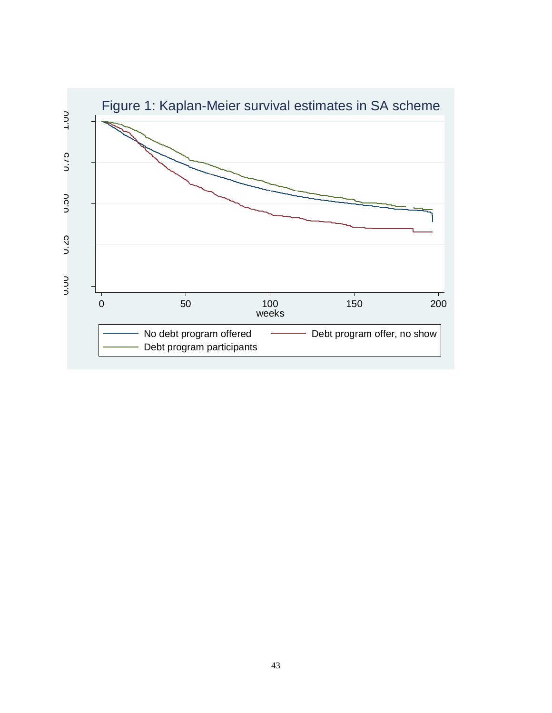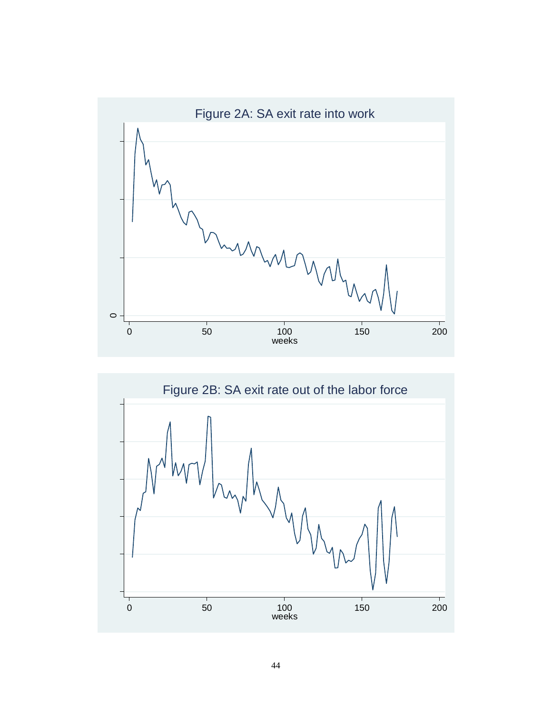

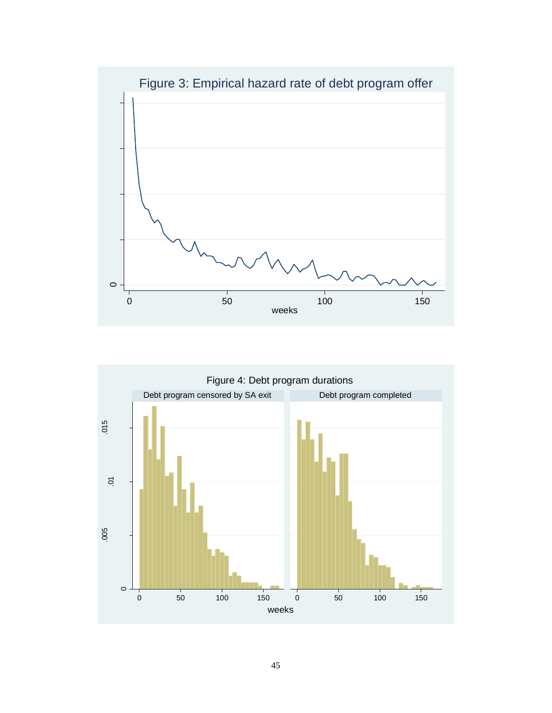

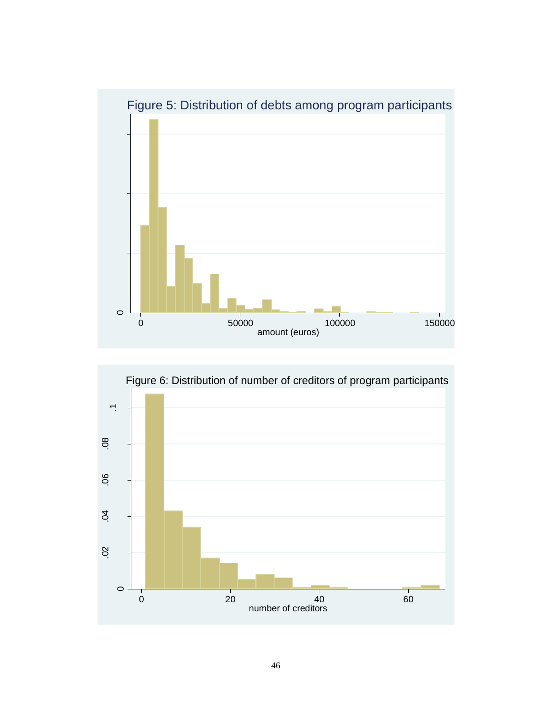